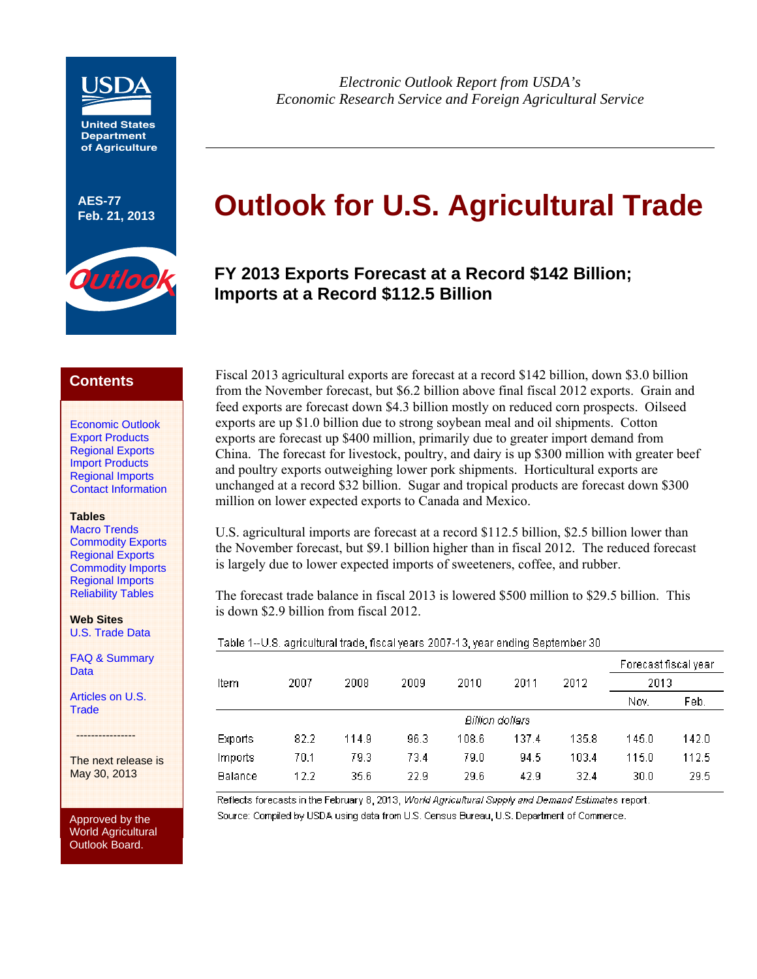

**United States Department of Agriculture**

**AES-77** 



*Electronic Outlook Report from USDA's Economic Research Service and Foreign Agricultural Service* 

# **Feb. 21, 2013 Outlook for U.S. Agricultural Trade**

# **FY 2013 Exports Forecast at a Record \$142 Billion; Imports at a Record \$112.5 Billion**

# **Contents**

[Economic Outlook](#page-1-0) [Export Products](#page-3-0) [Regional Exports](#page-6-0) [Import Products](#page-8-0) [Regional Imports](#page-6-0)  [Contact Information](#page-17-0)

#### **Tables**

[Macro Trends](#page-2-0) [Commodity Exports](#page-5-0) [Regional Exports](#page-7-0) [Commodity Imports](#page-10-0) [Regional Imports](#page-12-0) [Reliability Tables](#page-13-0)

**Web Sites**  [U.S. Trade Data](http://www.fas.usda.gov/gats/default.aspx) 

[FAQ & Summary](http://www.ers.usda.gov/data-products/foreign-agricultural-trade-of-the-united-states-(fatus).aspx)  Data

[Articles on U.S.](http://www.ers.usda.gov/topics/international-markets-trade/us-agricultural-trade.aspx)  **Trade** 

----------------

The next release is May 30, 2013

Approved by the World Agricultural Outlook Board.

Fiscal 2013 agricultural exports are forecast at a record \$142 billion, down \$3.0 billion from the November forecast, but \$6.2 billion above final fiscal 2012 exports. Grain and feed exports are forecast down \$4.3 billion mostly on reduced corn prospects. Oilseed exports are up \$1.0 billion due to strong soybean meal and oil shipments. Cotton exports are forecast up \$400 million, primarily due to greater import demand from China. The forecast for livestock, poultry, and dairy is up \$300 million with greater beef and poultry exports outweighing lower pork shipments. Horticultural exports are unchanged at a record \$32 billion. Sugar and tropical products are forecast down \$300 million on lower expected exports to Canada and Mexico.

U.S. agricultural imports are forecast at a record \$112.5 billion, \$2.5 billion lower than the November forecast, but \$9.1 billion higher than in fiscal 2012. The reduced forecast is largely due to lower expected imports of sweeteners, coffee, and rubber.

The forecast trade balance in fiscal 2013 is lowered \$500 million to \$29.5 billion. This is down \$2.9 billion from fiscal 2012.

Table 1--U.S. agricultural trade, fiscal years 2007-13, year ending September 30.

|         |      |       |      |                 |       |       | Forecast fiscal year |       |
|---------|------|-------|------|-----------------|-------|-------|----------------------|-------|
| Item    | 2007 | 2008  | 2009 | 2010            | 2011  | 2012  | 2013                 |       |
|         |      |       |      |                 |       |       | Nov.                 | Feb.  |
|         |      |       |      | Billion dollars |       |       |                      |       |
| Exports | 82.2 | 114.9 | 96.3 | 108.6           | 137.4 | 135.8 | 145.0                | 142.0 |
| Imports | 70.1 | 79.3  | 73.4 | 79.0            | 94.5  | 103.4 | 115.0                | 112.5 |
| Balance | 12.2 | 35.6  | 22.9 | 29.6            | 42.9  | 32.4  | 30.0                 | 29.5  |
|         |      |       |      |                 |       |       |                      |       |

Reflects forecasts in the February 8, 2013, World Agricultural Supply and Demand Estimates report. Source: Compiled by USDA using data from U.S. Census Bureau, U.S. Department of Commerce.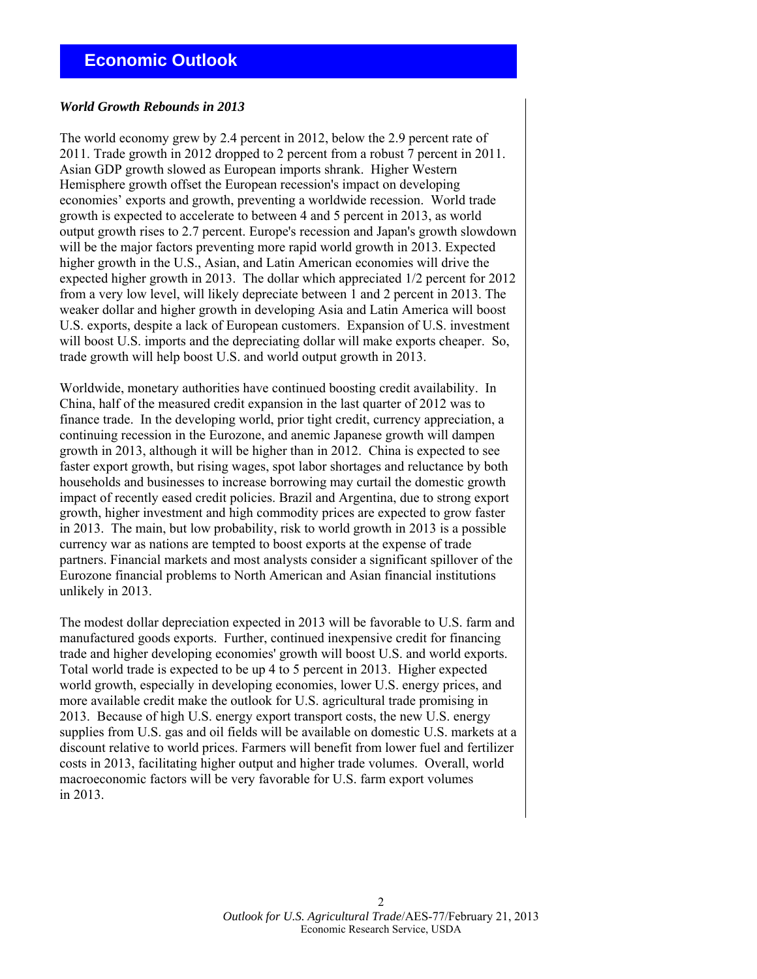### <span id="page-1-0"></span>*World Growth Rebounds in 2013*

The world economy grew by 2.4 percent in 2012, below the 2.9 percent rate of 2011. Trade growth in 2012 dropped to 2 percent from a robust 7 percent in 2011. Asian GDP growth slowed as European imports shrank. Higher Western Hemisphere growth offset the European recession's impact on developing economies' exports and growth, preventing a worldwide recession. World trade growth is expected to accelerate to between 4 and 5 percent in 2013, as world output growth rises to 2.7 percent. Europe's recession and Japan's growth slowdown will be the major factors preventing more rapid world growth in 2013. Expected higher growth in the U.S., Asian, and Latin American economies will drive the expected higher growth in 2013. The dollar which appreciated 1/2 percent for 2012 from a very low level, will likely depreciate between 1 and 2 percent in 2013. The weaker dollar and higher growth in developing Asia and Latin America will boost U.S. exports, despite a lack of European customers. Expansion of U.S. investment will boost U.S. imports and the depreciating dollar will make exports cheaper. So, trade growth will help boost U.S. and world output growth in 2013.

Worldwide, monetary authorities have continued boosting credit availability. In China, half of the measured credit expansion in the last quarter of 2012 was to finance trade. In the developing world, prior tight credit, currency appreciation, a continuing recession in the Eurozone, and anemic Japanese growth will dampen growth in 2013, although it will be higher than in 2012. China is expected to see faster export growth, but rising wages, spot labor shortages and reluctance by both households and businesses to increase borrowing may curtail the domestic growth impact of recently eased credit policies. Brazil and Argentina, due to strong export growth, higher investment and high commodity prices are expected to grow faster in 2013. The main, but low probability, risk to world growth in 2013 is a possible currency war as nations are tempted to boost exports at the expense of trade partners. Financial markets and most analysts consider a significant spillover of the Eurozone financial problems to North American and Asian financial institutions unlikely in 2013.

The modest dollar depreciation expected in 2013 will be favorable to U.S. farm and manufactured goods exports. Further, continued inexpensive credit for financing trade and higher developing economies' growth will boost U.S. and world exports. Total world trade is expected to be up 4 to 5 percent in 2013. Higher expected world growth, especially in developing economies, lower U.S. energy prices, and more available credit make the outlook for U.S. agricultural trade promising in 2013. Because of high U.S. energy export transport costs, the new U.S. energy supplies from U.S. gas and oil fields will be available on domestic U.S. markets at a discount relative to world prices. Farmers will benefit from lower fuel and fertilizer costs in 2013, facilitating higher output and higher trade volumes. Overall, world macroeconomic factors will be very favorable for U.S. farm export volumes in 2013.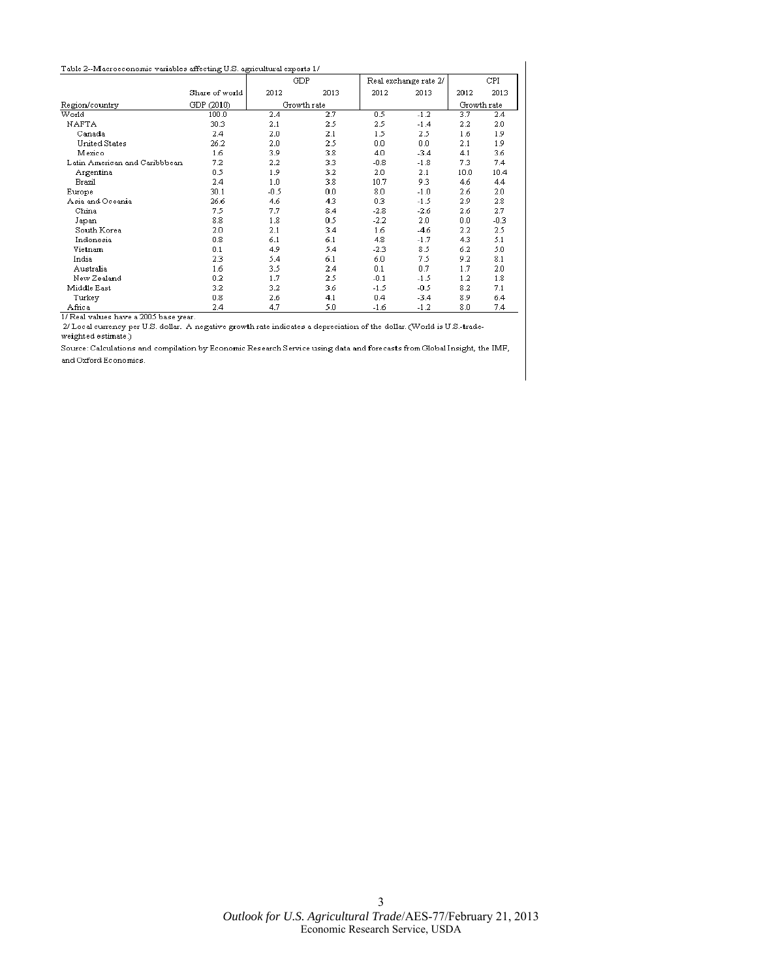#### <span id="page-2-0"></span>Table 2--Macroeconomic variables affecting U.S. agricultural exports  $1/\sqrt{2}$

|                               |                | GDP    |             |        | Real exchange rate 2/ |             | CPI    |
|-------------------------------|----------------|--------|-------------|--------|-----------------------|-------------|--------|
|                               | Share of world | 2012   | 2013        | 2012   | 2013                  | 2012        | 2013   |
| Region/country                | GDP (2010)     |        | Growth rate |        |                       | Growth rate |        |
| World                         | 100.0          | 2.4    | 2.7         | 0.5    | $-1.2$                | 3.7         | 2.4    |
| NAFTA                         | 30.3           | 2.1    | 2.5         | 2.5    | $-1.4$                | 2.2         | 2.0    |
| Canada                        | 2.4            | 2.0    | 2.1         | 1.5    | 2.5                   | 1.6         | 1.9    |
| United States                 | 26.2           | 2.0    | 2.5         | 0.0    | 0.0                   | 2.1         | 1.9    |
| Mexico                        | 1.6            | 3.9    | 3.8         | 4.0    | $-3.4$                | 4.1         | 3.6    |
| Latin American and Caribbbean | 7.2            | 2.2    | 3.3         | $-0.8$ | $-1.8$                | 7.3         | 7.4    |
| Argentina                     | 0.5            | 1.9    | 3.2         | 2.0    | 2.1                   | 10.0        | 10.4   |
| Brazil                        | 2.4            | 1.0    | 3.8         | 10.7   | 9.3                   | 4.6         | 4.4    |
| Europe                        | 30.1           | $-0.5$ | 0.0         | 8.0    | $-1.0$                | 2.6         | 2.0    |
| Asia and Oceania              | 26.6           | 4.6    | 4.3         | 0.3    | $-1.5$                | 2.9         | 2.8    |
| China                         | 7.5            | 7.7    | 8.4         | $-2.8$ | $-2.6$                | 2.6         | 2.7    |
| Japan                         | 8.8            | 1.8    | 0.5         | $-2.2$ | 2.0                   | 0.0         | $-0.3$ |
| South Korea                   | 2.0            | 2.1    | 3.4         | 1.6    | -4.6                  | 2.2         | 2.5    |
| Indonesia                     | 0.8            | 6.1    | 6.1         | 4.8    | $-1.7$                | 4.3         | 5.1    |
| Vietnam                       | 0.1            | 4.9    | 5.4         | $-2.3$ | 8.5                   | 6.2         | 5.0    |
| India                         | 2.3            | 5.4    | 6.1         | 6.0    | 7.5                   | 9.2         | 8.1    |
| Australia                     | 1.6            | 3.5    | 2.4         | 0.1    | 0.7                   | 1.7         | 2.0    |
| New Zealand                   | 0.2            | 1.7    | 2.5         | $-0.1$ | $-1.5$                | 1.2         | 1.8    |
| Middle East                   | 3.2            | 3.2    | 3.6         | $-1.5$ | $-0.5$                | 8.2         | 7.1    |
| Turkey                        | 0.8            | 2.6    | 4.1         | 0.4    | $-3.4$                | 8.9         | 6.4    |
| Africa                        | 2.4            | 4.7    | 5.0         | $-1.6$ | $-1.2$                | 8.0         | 7.4    |

1/ Real values have a 2005 base year.

2/ Local currency per U.S. dollar. A negative growth rate indicates a depreciation of the dollar. (World is U.S.-trade-weighted estimate.)

Source: Calculations and compilation by Economic Research Service using data and forecasts from Global Insight, the IMF, and Oxford Economics.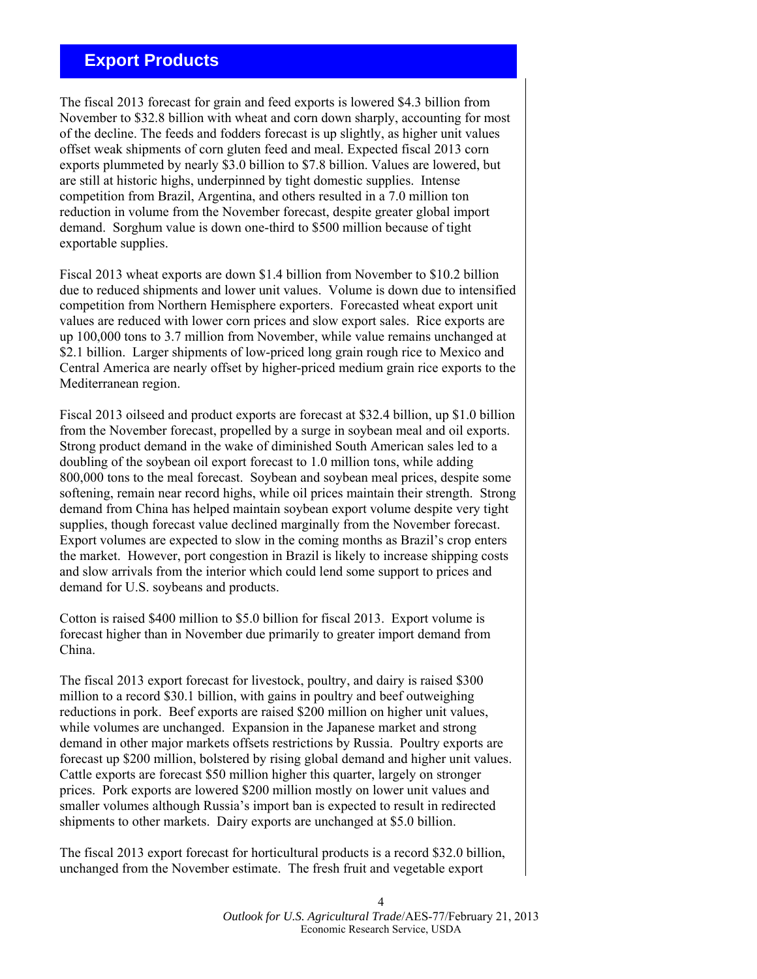# <span id="page-3-0"></span> **Export Products**

The fiscal 2013 forecast for grain and feed exports is lowered \$4.3 billion from November to \$32.8 billion with wheat and corn down sharply, accounting for most of the decline. The feeds and fodders forecast is up slightly, as higher unit values offset weak shipments of corn gluten feed and meal. Expected fiscal 2013 corn exports plummeted by nearly \$3.0 billion to \$7.8 billion. Values are lowered, but are still at historic highs, underpinned by tight domestic supplies. Intense competition from Brazil, Argentina, and others resulted in a 7.0 million ton reduction in volume from the November forecast, despite greater global import demand. Sorghum value is down one-third to \$500 million because of tight exportable supplies.

Fiscal 2013 wheat exports are down \$1.4 billion from November to \$10.2 billion due to reduced shipments and lower unit values. Volume is down due to intensified competition from Northern Hemisphere exporters. Forecasted wheat export unit values are reduced with lower corn prices and slow export sales. Rice exports are up 100,000 tons to 3.7 million from November, while value remains unchanged at \$2.1 billion. Larger shipments of low-priced long grain rough rice to Mexico and Central America are nearly offset by higher-priced medium grain rice exports to the Mediterranean region.

Fiscal 2013 oilseed and product exports are forecast at \$32.4 billion, up \$1.0 billion from the November forecast, propelled by a surge in soybean meal and oil exports. Strong product demand in the wake of diminished South American sales led to a doubling of the soybean oil export forecast to 1.0 million tons, while adding 800,000 tons to the meal forecast. Soybean and soybean meal prices, despite some softening, remain near record highs, while oil prices maintain their strength. Strong demand from China has helped maintain soybean export volume despite very tight supplies, though forecast value declined marginally from the November forecast. Export volumes are expected to slow in the coming months as Brazil's crop enters the market. However, port congestion in Brazil is likely to increase shipping costs and slow arrivals from the interior which could lend some support to prices and demand for U.S. soybeans and products.

Cotton is raised \$400 million to \$5.0 billion for fiscal 2013. Export volume is forecast higher than in November due primarily to greater import demand from China.

The fiscal 2013 export forecast for livestock, poultry, and dairy is raised \$300 million to a record \$30.1 billion, with gains in poultry and beef outweighing reductions in pork. Beef exports are raised \$200 million on higher unit values, while volumes are unchanged. Expansion in the Japanese market and strong demand in other major markets offsets restrictions by Russia. Poultry exports are forecast up \$200 million, bolstered by rising global demand and higher unit values. Cattle exports are forecast \$50 million higher this quarter, largely on stronger prices. Pork exports are lowered \$200 million mostly on lower unit values and smaller volumes although Russia's import ban is expected to result in redirected shipments to other markets. Dairy exports are unchanged at \$5.0 billion.

The fiscal 2013 export forecast for horticultural products is a record \$32.0 billion, unchanged from the November estimate. The fresh fruit and vegetable export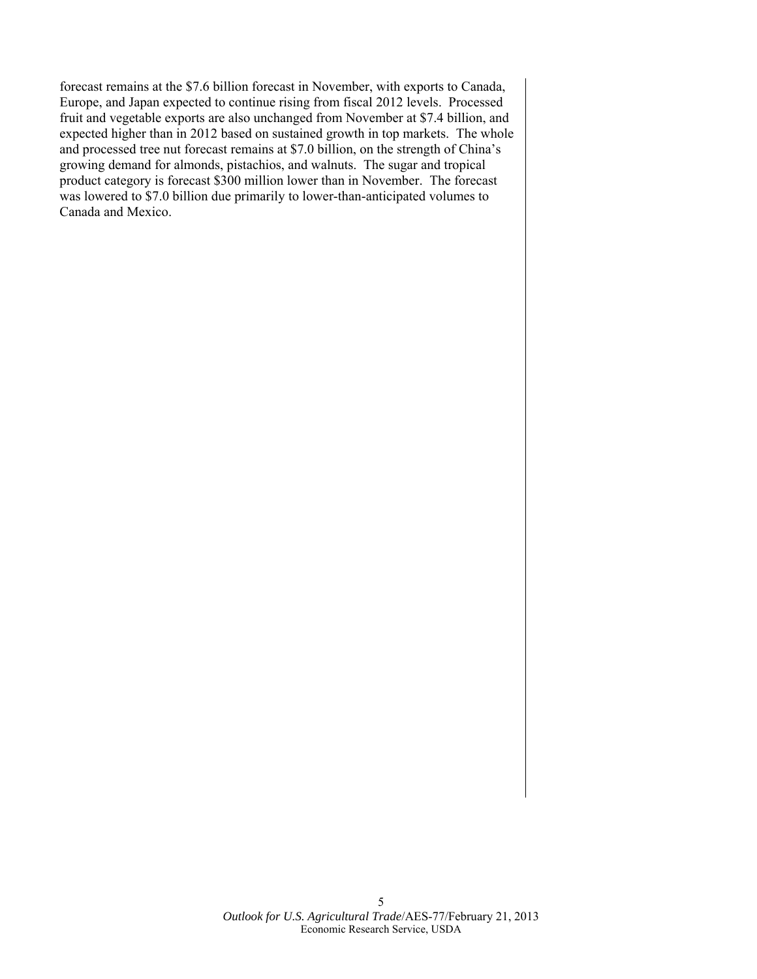forecast remains at the \$7.6 billion forecast in November, with exports to Canada, Europe, and Japan expected to continue rising from fiscal 2012 levels. Processed fruit and vegetable exports are also unchanged from November at \$7.4 billion, and expected higher than in 2012 based on sustained growth in top markets. The whole and processed tree nut forecast remains at \$7.0 billion, on the strength of China's growing demand for almonds, pistachios, and walnuts. The sugar and tropical product category is forecast \$300 million lower than in November. The forecast was lowered to \$7.0 billion due primarily to lower-than-anticipated volumes to Canada and Mexico.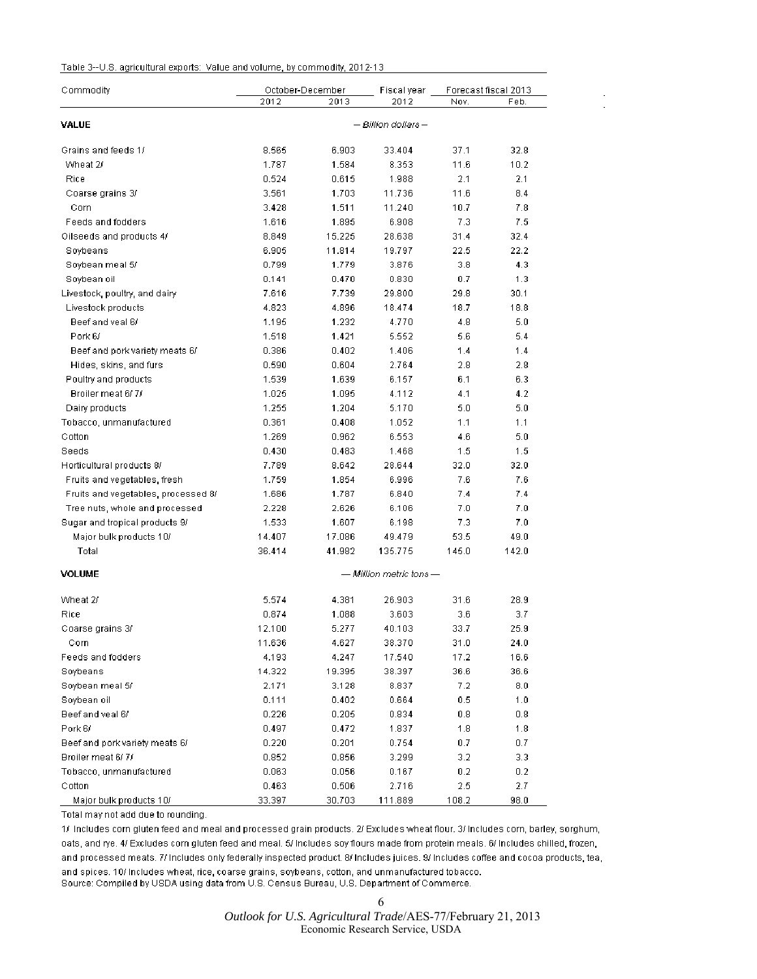#### <span id="page-5-0"></span>Table 3--U.S. agricultural exports: Value and volume, by commodity, 2012-13.

| Commodity                           | October-December |        | Fiscal year                 | Forecast fiscal 2013 |                  |  |
|-------------------------------------|------------------|--------|-----------------------------|----------------------|------------------|--|
|                                     | 2012             | 2013   | 2012                        | Nov.                 | Feb.             |  |
| VALUE                               |                  |        | — Billion dollars —         |                      |                  |  |
| Grains and feeds 1/                 | 8.565            | 6.903  | 33.404                      | 37.1                 | 32.8             |  |
| Wheat 2/                            | 1.787            | 1.584  | 8.353                       | 11.6                 | 10.2             |  |
| Rice                                | 0.524            | 0.615  | 1.988                       | 2.1                  | 2.1              |  |
| Coarse grains 3/                    | 3.561            | 1.703  | 11.736                      | 11.6                 | 8.4              |  |
| Corn                                | 3.428            | 1.511  | 11.240                      | 10.7                 | 7.8              |  |
| Feeds and fodders                   | 1.616            | 1.895  | 6.908                       | 7.3                  | 7.5              |  |
| Oilseeds and products 4/            | 8.849            | 15.225 | 28.638                      | 31.4                 | 32.4             |  |
| Soybeans                            | 6.905            | 11.814 | 19.797                      | 22.5                 | 22.2             |  |
| Soybean meal 5/                     | 0.799            | 1.779  | 3.876                       | 3.8                  | 4.3              |  |
| Soybean oil                         | 0.141            | 0.470  | 0.830                       | 0.7                  | 1.3              |  |
| Livestock, poultry, and dairy       | 7.616            | 7.739  | 29.800                      | 29.8                 | 30.1             |  |
| Livestock products                  | 4.823            | 4.896  | 18.474                      | 18.7                 | 18.8             |  |
| Beef and yeal 6/                    | 1.195            | 1.232  | 4.770                       | 4.8                  | 5.0              |  |
| Pork 6/                             | 1.518            | 1.421  | 5.552                       | 5.6                  | 5.4              |  |
| Beef and pork variety meats 6/      | 0.386            | 0.402  | 1.406                       | 1.4                  | 1.4              |  |
| Hides, skins, and furs              | 0.590            | 0.604  | 2.764                       | 2.8                  | 2.8              |  |
| Poultry and products                | 1.539            | 1.639  | 6.157                       | 6.1                  | 6.3              |  |
| Broiler meat 6/7/                   | 1.025            | 1.095  | 4.112                       | 4.1                  | 4.2              |  |
| Dairy products                      | 1.255            | 1.204  | 5.170                       | 5.0                  | 5.0              |  |
| Tobacco, unmanufactured             | 0.361            | 0.408  | 1.052                       | 1.1                  | 1.1              |  |
| Cotton                              | 1.269            | 0.962  | 6.553                       | 4.6                  | 5.0              |  |
| Seeds                               | 0.430            | 0.483  | 1.468                       | 1.5                  | 1.5              |  |
| Horticultural products 8/           | 7.789            | 8.642  | 28.644                      | 32.0                 | 32.0             |  |
| Fruits and vegetables, fresh        | 1.759            | 1.854  | 6.996                       | 7.6                  | 7.6              |  |
| Fruits and vegetables, processed 8/ | 1.686            | 1.787  | 6.840                       | 7.4                  | 7.4              |  |
| Tree nuts, whole and processed      | 2.228            | 2.626  | 6.106                       | 7.0                  | 7.0              |  |
| Sugar and tropical products 9/      | 1.533            | 1.607  | 6.198                       | 7.3                  | 7.0              |  |
| Major bulk products 10/             | 14.407           | 17.086 | 49.479                      | 53.5                 | 49.0             |  |
| Total                               | 36.414           | 41.982 | 135.775                     | 145.0                | 142.0            |  |
| <b>VOLUME</b>                       |                  |        | $-$ Million metric tons $-$ |                      |                  |  |
| Wheat 2/                            | 5.574            | 4.381  | 26.903                      | 31.6                 | 28.9             |  |
| Rice                                | 0.874            | 1.088  | 3.603                       | 3.6                  | 3.7              |  |
| Coarse grains 3/                    | 12.100           | 5.277  | 40.103                      | 33.7                 | 25.9             |  |
| Corn                                | 11.636           | 4.627  | 38.370                      | 31.0                 | 24.0             |  |
| Feeds and fodders                   | 4.193            | 4.247  | 17.540                      | 17.2                 | 16.6             |  |
| Soybeans                            | 14.322           | 19.395 | 38.397                      | 36.6                 | 36.6             |  |
| Soybean meal 5/                     | 2.171            | 3.128  | 8.837                       | 7.2                  | 8.0              |  |
| Soybean oil                         | 0.111            | 0.402  | 0.664                       | 0.5                  | 1.0              |  |
| Beef and veal 6/                    | 0.226            | 0.205  | 0.834                       | 0.8                  | $_{0.8}$         |  |
| Pork 6/                             | 0.497            | 0.472  | 1.837                       | 1.8                  | 1.8              |  |
| Beef and pork variety meats 6/      | 0.220            | 0.201  | 0.754                       | 0.7                  | 0.7              |  |
| Broiler meat 6/7/                   | 0.852            | 0.856  | 3.299                       | 3.2                  | 3.3 <sub>1</sub> |  |
| Tobacco, unmanufactured             | 0.063            | 0.056  | 0.167                       | 0.2                  | 0.2              |  |
| Cotton                              | 0.463            | 0.506  | 2.716                       | 2.5                  | 2.7              |  |
| Major bulk products 10/             | 33.397           | 30.703 | 111.889                     | 108.2                | 98.0             |  |

Total may not add due to rounding.

1/ Includes corn gluten feed and meal and processed grain products. 2/ Excludes wheat flour. 3/ Includes corn, barley, sorghum, oats, and rye. 4/ Excludes corn gluten feed and meal. 5/ Includes soy flours made from protein meals. 6/ Includes chilled, frozen, and processed meats. 7/ Includes only federally inspected product. 8/ Includes juices. 9/ Includes coffee and cocoa products, tea, and spices. 10/ Includes wheat, rice, coarse grains, soybeans, cotton, and unmanufactured tobacco. Source: Compiled by USDA using data from U.S. Census Bureau, U.S. Department of Commerce.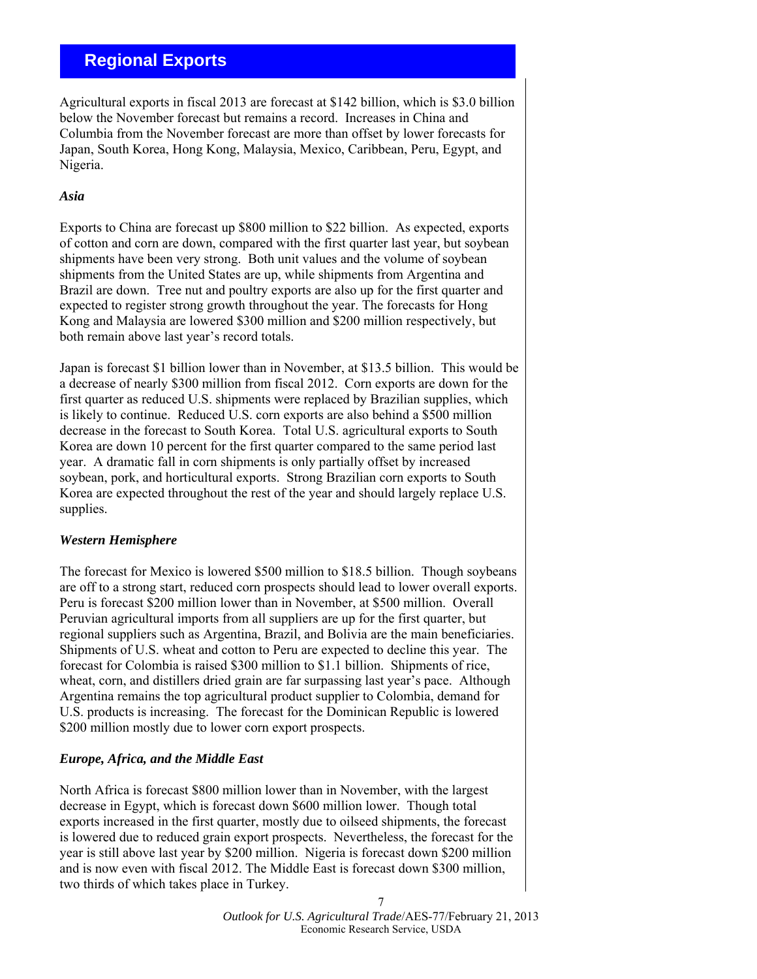# <span id="page-6-0"></span> **Regional Exports**

Agricultural exports in fiscal 2013 are forecast at \$142 billion, which is \$3.0 billion below the November forecast but remains a record. Increases in China and Columbia from the November forecast are more than offset by lower forecasts for Japan, South Korea, Hong Kong, Malaysia, Mexico, Caribbean, Peru, Egypt, and Nigeria.

# *Asia*

Exports to China are forecast up \$800 million to \$22 billion. As expected, exports of cotton and corn are down, compared with the first quarter last year, but soybean shipments have been very strong. Both unit values and the volume of soybean shipments from the United States are up, while shipments from Argentina and Brazil are down. Tree nut and poultry exports are also up for the first quarter and expected to register strong growth throughout the year. The forecasts for Hong Kong and Malaysia are lowered \$300 million and \$200 million respectively, but both remain above last year's record totals.

Japan is forecast \$1 billion lower than in November, at \$13.5 billion. This would be a decrease of nearly \$300 million from fiscal 2012. Corn exports are down for the first quarter as reduced U.S. shipments were replaced by Brazilian supplies, which is likely to continue. Reduced U.S. corn exports are also behind a \$500 million decrease in the forecast to South Korea. Total U.S. agricultural exports to South Korea are down 10 percent for the first quarter compared to the same period last year. A dramatic fall in corn shipments is only partially offset by increased soybean, pork, and horticultural exports. Strong Brazilian corn exports to South Korea are expected throughout the rest of the year and should largely replace U.S. supplies.

# *Western Hemisphere*

The forecast for Mexico is lowered \$500 million to \$18.5 billion. Though soybeans are off to a strong start, reduced corn prospects should lead to lower overall exports. Peru is forecast \$200 million lower than in November, at \$500 million. Overall Peruvian agricultural imports from all suppliers are up for the first quarter, but regional suppliers such as Argentina, Brazil, and Bolivia are the main beneficiaries. Shipments of U.S. wheat and cotton to Peru are expected to decline this year. The forecast for Colombia is raised \$300 million to \$1.1 billion. Shipments of rice, wheat, corn, and distillers dried grain are far surpassing last year's pace. Although Argentina remains the top agricultural product supplier to Colombia, demand for U.S. products is increasing. The forecast for the Dominican Republic is lowered \$200 million mostly due to lower corn export prospects.

# *Europe, Africa, and the Middle East*

North Africa is forecast \$800 million lower than in November, with the largest decrease in Egypt, which is forecast down \$600 million lower. Though total exports increased in the first quarter, mostly due to oilseed shipments, the forecast is lowered due to reduced grain export prospects. Nevertheless, the forecast for the year is still above last year by \$200 million. Nigeria is forecast down \$200 million and is now even with fiscal 2012. The Middle East is forecast down \$300 million, two thirds of which takes place in Turkey.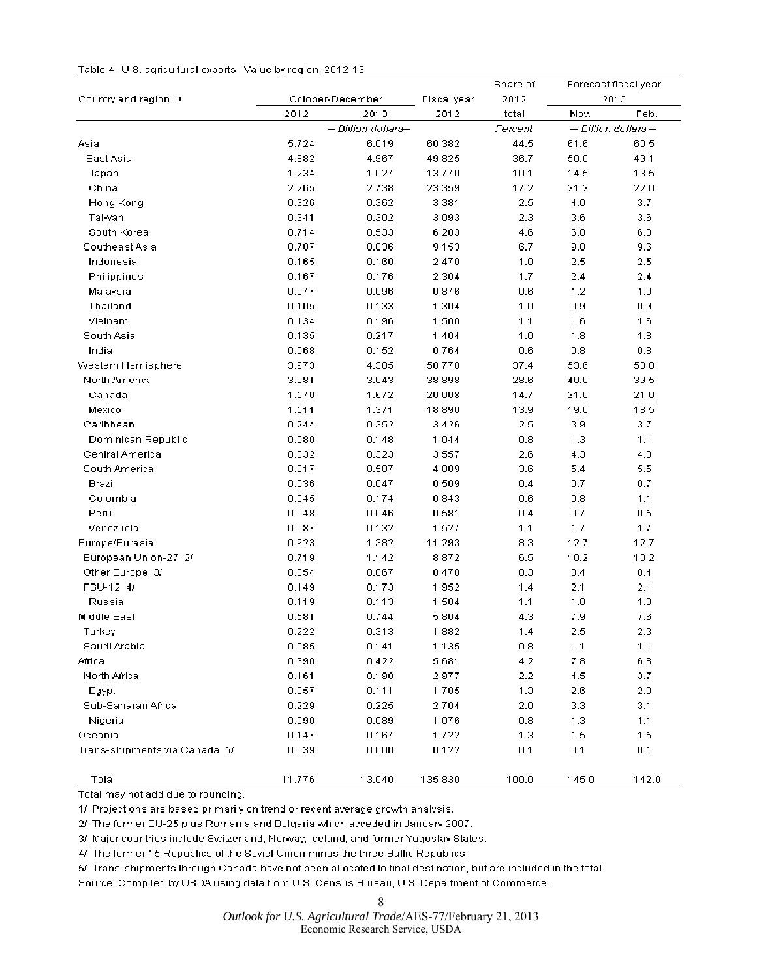#### <span id="page-7-0"></span>Table 4--U.S. agricultural exports: Value by region, 2012-13

|                               |        |                    |             | Share of | Forecast fiscal year |                    |  |
|-------------------------------|--------|--------------------|-------------|----------|----------------------|--------------------|--|
| Country and region 1/         |        | October-December   | Fiscal year | 2012     |                      | 2013               |  |
|                               | 2012   | 2013               | 2012        | total    | Nov.                 | Feb.               |  |
|                               |        | - Billion dollars- |             | Percent  |                      | - Billion dollars- |  |
| Asia                          | 5.724  | 6.019              | 60.382      | 44.5     | 61.6                 | 60.5               |  |
| East Asial                    | 4.882  | 4.967              | 49.825      | 36.7     | 50.0                 | 49.1               |  |
| Japan                         | 1.234  | 1.027              | 13.770      | 10.1     | 14.5                 | 13.5               |  |
| China                         | 2.265  | 2.738              | 23.359      | 17.2     | 21.2                 | 22.0               |  |
| Hong Kong                     | 0.326  | 0.362              | 3.381       | 2.5      | 4.0                  | 3.7                |  |
| Taiwan                        | 0.341  | 0.302              | 3.093       | 2.3      | 3.6                  | 3.6                |  |
| South Korea                   | 0.714  | 0.533              | 6.203       | 4.6      | 6.8                  | 6.3                |  |
| Southeast Asia                | 0.707  | 0.836              | 9.153       | 6.7      | 9.8                  | 9.6                |  |
| Indonesia                     | 0.165  | 0.168              | 2.470       | 1.8      | 2.5                  | 2.5                |  |
| Philippines                   | 0.167  | 0.176              | 2.304       | 1.7      | 2.4                  | 2.4                |  |
| Malaysia                      | 0.077  | 0.096              | 0.876       | 0.6      | 1.2                  | 1.0                |  |
| Thailand                      | 0.105  | 0.133              | 1.304       | 1.0      | 0.9                  | 0.9                |  |
| Vietnam                       | 0.134  | 0.196              | 1.500       | 1.1      | 1.6                  | 1.6                |  |
| South Asia                    | 0.135  | 0.217              | 1.404       | 1.0      | 1.8                  | 1.8                |  |
| India                         | 0.068  | 0.152              | 0.764       | 0.6      | 0.8                  | 0.8                |  |
| Western Hemisphere            | 3.973  | 4.305              | 50.770      | 37.4     | 53.6                 | 53.0               |  |
| North America                 | 3.081  | 3.043              | 38.898      | 28.6     | 40.0                 | 39.5               |  |
| Canada                        | 1.570  | 1.672              | 20.008      | 14.7     | 21.0                 | 21.0               |  |
| Mexico                        | 1.511  | 1.371              | 18.890      | 13.9     | 19.0                 | 18.5               |  |
| Caribbean                     | 0.244  | 0.352              | 3.426       | 2.5      | 3.9                  | 3.7                |  |
| Dominican Republic            | 0.080  | 0.148              | 1.044       | 0.8      | 1.3                  | 1.1                |  |
| Central America               | 0.332  | 0.323              | 3.557       | 2.6      | 4.3                  | 4.3                |  |
| South America                 | 0.317  | 0.587              | 4.889       | 3.6      | 5.4                  | 5.5                |  |
| Brazil                        | 0.036  | 0.047              | 0.509       | 0.4      | 0.7                  | 0.7                |  |
| Colombia                      | 0.045  | 0.174              | 0.843       | 0.6      | 0.8                  | 1.1                |  |
| Peru                          | 0.048  | 0.046              | 0.581       | 0.4      | 0.7                  | 0.5                |  |
| Venezuela                     | 0.087  | 0.132              | 1.527       | 1.1      | 1.7                  | 1.7                |  |
| Europe/Eurasia                | 0.923  | 1.382              | 11.293      | 8.3      | 12.7                 | 12.7               |  |
| European Union-27 2/          | 0.719  | 1.142              | 8.872       | 6.5      | 10.2                 | 10.2               |  |
| Other Europe 3/               | 0.054  | 0.067              | 0.470       | 0.3      | 0.4                  | 0.4                |  |
| FSU-12 4/                     | 0.149  | 0.173              | 1.952       | 1.4      | 2.1                  | 2.1                |  |
| Russia                        | 0.119  | 0.113              | 1.504       | 1.1      | 1.8                  | 1.8                |  |
| Middle East                   | 0.581  | 0.744              | 5.804       | 4.3      | 7.9                  | 7.6                |  |
| Turkey                        | 0.222  | 0.313              | 1.882       | 1.4      | 2.5                  | 2.3                |  |
| Saudi Arabia                  | 0.085  | 0.141              | 1.135       | 0.8      | 1.1                  | 1.1                |  |
| Africa                        | 0.390  | 0.422              | 5.681       | 4.2      | 7.8                  | 6.8                |  |
| North Africa                  | 0.161  | 0.198              | 2.977       | 2.2      | 4.5                  | 3.7                |  |
| Egypt                         | 0.057  | 0.111              | 1.785       | 1.3      | 2.6                  | 2.0                |  |
| Sub-Saharan Africa            | 0.229  | 0.225              | 2.704       | 2.0      | 3.3                  | 3.1                |  |
| Nigeria                       | 0.090  | 0.089              | 1.076       | 0.8      | 1.3                  | 1.1                |  |
| Oceania                       | 0.147  | 0.167              | 1.722       | 1.3      | 1.5                  | 1.5                |  |
| Trans-shipments via Canada 5/ | 0.039  | 0.000              | 0.122       | 0.1      | 0.1                  | 0.1                |  |
| Total                         | 11.776 | 13.040             | 135.830     | 100.0    | 145.0                | 142.0              |  |

Total may not add due to rounding.

1/ Projections are based primarily on trend or recent average growth analysis.

2/ The former EU-25 plus Romania and Bulgaria which acceded in January 2007.

3/ Major countries include Switzerland, Norway, Iceland, and former Yugoslav States.

4/ The former 15 Republics of the Soviet Union minus the three Baltic Republics.

5/ Trans-shipments through Canada have not been allocated to final destination, but are included in the total.

Source: Compiled by USDA using data from U.S. Census Bureau, U.S. Department of Commerce.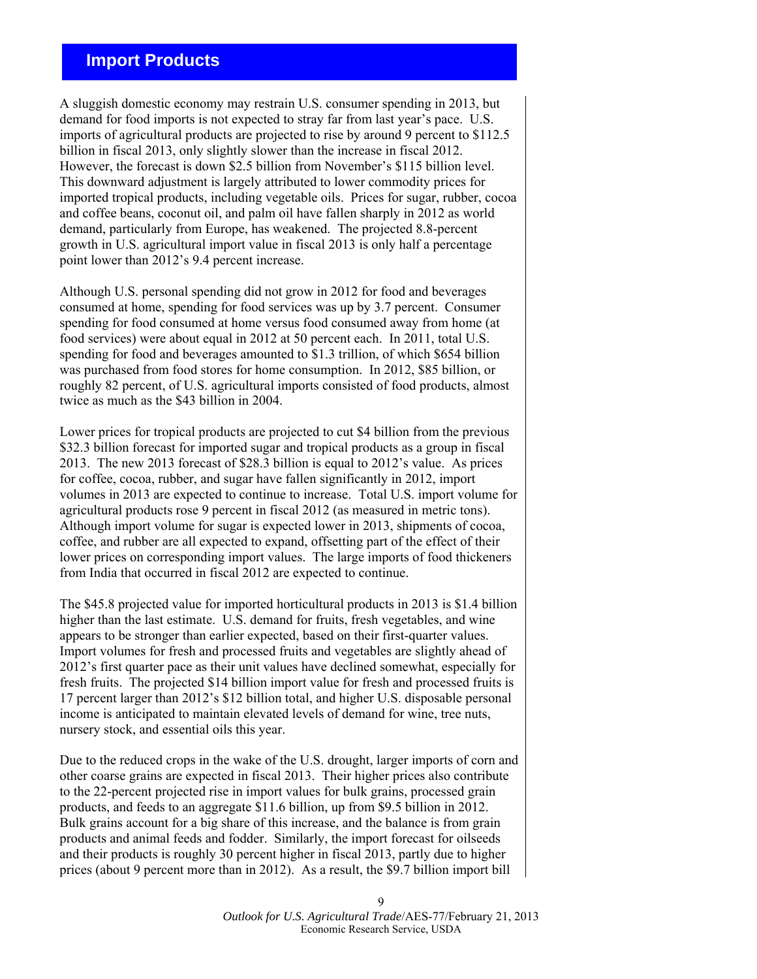# <span id="page-8-0"></span> **Import Products**

A sluggish domestic economy may restrain U.S. consumer spending in 2013, but demand for food imports is not expected to stray far from last year's pace. U.S. imports of agricultural products are projected to rise by around 9 percent to \$112.5 billion in fiscal 2013, only slightly slower than the increase in fiscal 2012. However, the forecast is down \$2.5 billion from November's \$115 billion level. This downward adjustment is largely attributed to lower commodity prices for imported tropical products, including vegetable oils. Prices for sugar, rubber, cocoa and coffee beans, coconut oil, and palm oil have fallen sharply in 2012 as world demand, particularly from Europe, has weakened. The projected 8.8-percent growth in U.S. agricultural import value in fiscal 2013 is only half a percentage point lower than 2012's 9.4 percent increase.

Although U.S. personal spending did not grow in 2012 for food and beverages consumed at home, spending for food services was up by 3.7 percent. Consumer spending for food consumed at home versus food consumed away from home (at food services) were about equal in 2012 at 50 percent each. In 2011, total U.S. spending for food and beverages amounted to \$1.3 trillion, of which \$654 billion was purchased from food stores for home consumption. In 2012, \$85 billion, or roughly 82 percent, of U.S. agricultural imports consisted of food products, almost twice as much as the \$43 billion in 2004.

Lower prices for tropical products are projected to cut \$4 billion from the previous \$32.3 billion forecast for imported sugar and tropical products as a group in fiscal 2013. The new 2013 forecast of \$28.3 billion is equal to 2012's value. As prices for coffee, cocoa, rubber, and sugar have fallen significantly in 2012, import volumes in 2013 are expected to continue to increase. Total U.S. import volume for agricultural products rose 9 percent in fiscal 2012 (as measured in metric tons). Although import volume for sugar is expected lower in 2013, shipments of cocoa, coffee, and rubber are all expected to expand, offsetting part of the effect of their lower prices on corresponding import values. The large imports of food thickeners from India that occurred in fiscal 2012 are expected to continue.

The \$45.8 projected value for imported horticultural products in 2013 is \$1.4 billion higher than the last estimate. U.S. demand for fruits, fresh vegetables, and wine appears to be stronger than earlier expected, based on their first-quarter values. Import volumes for fresh and processed fruits and vegetables are slightly ahead of 2012's first quarter pace as their unit values have declined somewhat, especially for fresh fruits. The projected \$14 billion import value for fresh and processed fruits is 17 percent larger than 2012's \$12 billion total, and higher U.S. disposable personal income is anticipated to maintain elevated levels of demand for wine, tree nuts, nursery stock, and essential oils this year.

Due to the reduced crops in the wake of the U.S. drought, larger imports of corn and other coarse grains are expected in fiscal 2013. Their higher prices also contribute to the 22-percent projected rise in import values for bulk grains, processed grain products, and feeds to an aggregate \$11.6 billion, up from \$9.5 billion in 2012. Bulk grains account for a big share of this increase, and the balance is from grain products and animal feeds and fodder. Similarly, the import forecast for oilseeds and their products is roughly 30 percent higher in fiscal 2013, partly due to higher prices (about 9 percent more than in 2012). As a result, the \$9.7 billion import bill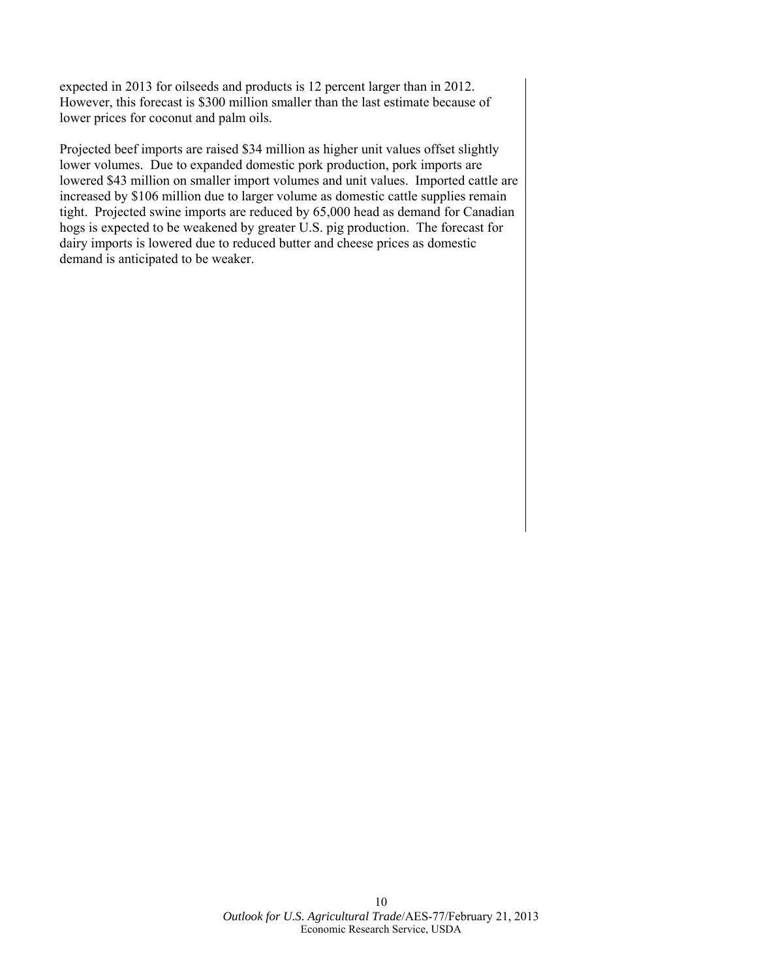expected in 2013 for oilseeds and products is 12 percent larger than in 2012. However, this forecast is \$300 million smaller than the last estimate because of lower prices for coconut and palm oils.

Projected beef imports are raised \$34 million as higher unit values offset slightly lower volumes. Due to expanded domestic pork production, pork imports are lowered \$43 million on smaller import volumes and unit values. Imported cattle are increased by \$106 million due to larger volume as domestic cattle supplies remain tight. Projected swine imports are reduced by 65,000 head as demand for Canadian hogs is expected to be weakened by greater U.S. pig production. The forecast for dairy imports is lowered due to reduced butter and cheese prices as domestic demand is anticipated to be weaker.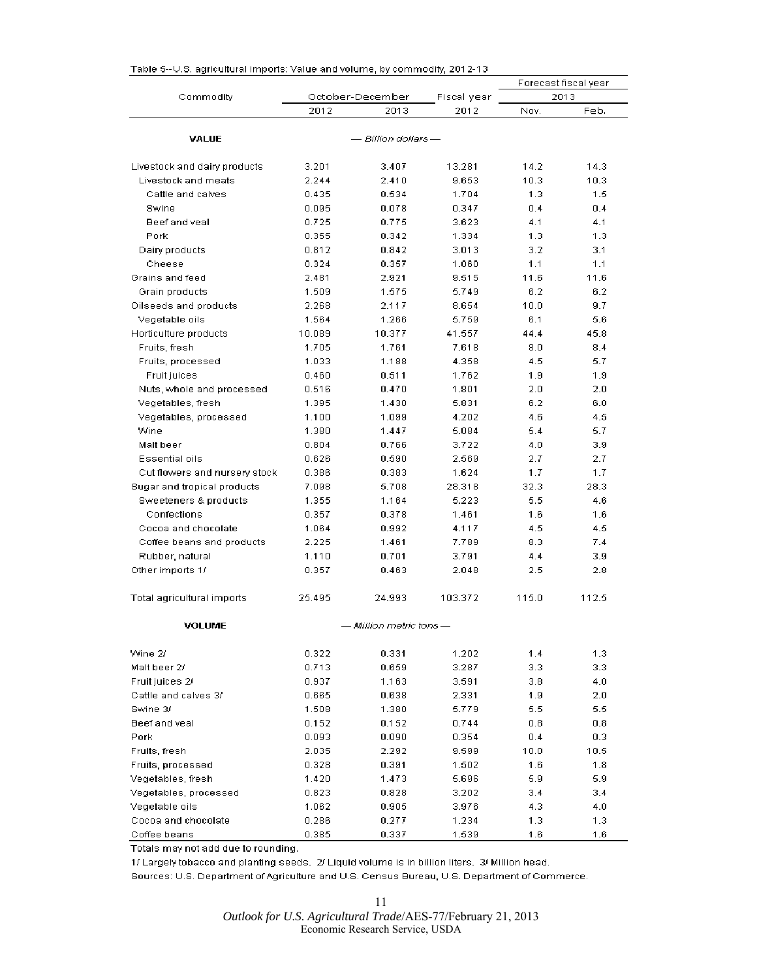|                               |        |                     | Forecast fiscal year |       |       |
|-------------------------------|--------|---------------------|----------------------|-------|-------|
| Commodity                     |        | October-December    | Fiscal year          |       | 2013  |
|                               | 2012   | 2013                | 2012                 | Nov.  | Feb.  |
|                               |        |                     |                      |       |       |
| <b>VALUE</b>                  |        | — Billion dollars — |                      |       |       |
| Livestock and dairy products  | 3.201  | 3.407               | 13.281               | 14.2  | 14.3  |
| Livestock and meats           | 2.244  | 2.410               | 9.653                | 10.3  | 10.3  |
| Cattle and calves             | 0.435  | 0.534               | 1.704                | 1.3   | 1.5   |
| Swine                         | 0.095  | 0.078               | 0.347                | 0.4   | 0.4   |
| Beef and veal                 | 0.725  | 0.775               | 3.623                | 4.1   | 4.1   |
| Pork                          | 0.355  | 0.342               | 1.334                | 1.3   | 1.3   |
| Dairy products                | 0.812  | 0.842               | 3.013                | 3.2   | 3.1   |
| Cheese                        | 0.324  | 0.357               | 1.060                | 1.1   | 1.1   |
| Grains and feed               | 2.481  | 2.921               | 9.515                | 11.6  | 11.6  |
| Grain products                | 1.509  | 1.575               | 5.749                | 6.2   | 6.2   |
| Oilseeds and products         | 2.268  | 2.117               | 8.654                | 10.0  | 9.7   |
| Vegetable oils                | 1.564  | 1.266               | 5.759                | 6.1   | 5.6   |
| Horticulture products         | 10.089 | 10.377              | 41.557               | 44.4  | 45.8  |
| Fruits, fresh                 | 1.705  | 1.761               | 7.618                | 8.0   | 8.4   |
| Fruits, processed             | 1.033  | 1.188               | 4.358                | 4.5   | 5.7   |
| Fruit juices                  | 0.460  | 0.511               | 1.762                | 1.9   | 1.9   |
| Nuts, whole and processed     | 0.516  | 0.470               | 1.801                | 2.0   | 2.0   |
| Vegetables, fresh             | 1.395  | 1.430               | 5.831                | 6.2   | 6.0   |
| Vegetables, processed         | 1.100  | 1.099               | 4.202                | 4.6   | 4.5   |
| Wine                          | 1.380  | 1.447               | 5.084                | 5.4   | 5.7   |
| Malt beer                     | 0.804  | 0.766               | 3.722                | 4.0   | 3.9   |
| Essential oils                | 0.626  | 0.590               | 2.569                | 2.7   | 2.7   |
| Cut flowers and nursery stock | 0.386  | 0.383               | 1.624                | 1.7   | 1.7   |
| Sugar and tropical products   | 7.098  | 5.708               | 28.318               | 32.3  | 28.3  |
| Sweeteners & products         | 1.355  | 1.164               | 5.223                | 5.5   | 4.6   |
| Confections                   | 0.357  | 0.378               | 1.461                | 1.6   | 1.6   |
| Cocoa and chocolate           | 1.064  | 0.992               | 4.117                | 4.5   | 4.5   |
| Coffee beans and products     | 2.225  | 1.461               | 7.789                | 8.3   | 7.4   |
| Rubber, natural               | 1.110  | 0.701               | 3.791                | 4.4   | 3.9   |
| Other imports 1/              | 0.357  | 0.463               | 2.048                | 2.5   | 2.8   |
|                               |        |                     |                      |       |       |
| Total agricultural imports    | 25.495 | 24.993              | 103.372              | 115.0 | 112.5 |
| VOLUME                        |        | Million metric tons |                      |       |       |
| Wine 2/                       | 0.322  | 0.331               | 1.202                | 1.4   | 1.3   |
| Malt beer 2/                  | 0.713  | 0.659               | 3.287                | 3.3   | 3.3   |
| Fruit juices 2/               | 0.937  | 1.163               | 3.591                | 3.8   | 4.0   |
| Cattle and calves 3/          | 0.665  | 0.638               | 2.331                | 1.9   | 2.0   |
| Swine 3/                      | 1.508  | 1.380               | 5.779                | 5.5   | 5.5   |
| Beef and veal                 | 0.152  | 0.152               | 0.744                | 0.8   | 0.8   |
| Pork                          | 0.093  | 0.090               | 0.354                | 0.4   | 0.3   |
| Fruits, fresh                 | 2.035  | 2.292               | 9.599                | 10.0  | 10.5  |
| Fruits, processed             | 0.328  | 0.391               | 1.502                | 1.6   | 1.8   |
| Vegetables fresh              | 1.420  | 1.473               | 5.696                | 5.9   | 5.9   |
| Vegetables, processed         | 0.823  | 0.828               | 3.202                | 3.4   | 3.4   |
| Vegetable oils                | 1.062  | 0.905               | 3.976                | 4.3   | 4.0   |
| Cocoa and chocolate           | 0.286  | 0.277               | 1.234                | 1.3   | 1.3   |
| Coffee beans                  | 0.385  | 0.337               | 1.539                | 1.6   | 1.6   |

<span id="page-10-0"></span>

| Table 5--U.S. agricultural imports: Value and volume, by commodity, 2012-13. |  |
|------------------------------------------------------------------------------|--|

Totals may not add due to rounding.

1/ Largely tobacco and planting seeds. 2/ Liquid volume is in billion liters. 3/ Million head.

Sources: U.S. Department of Agriculture and U.S. Census Bureau, U.S. Department of Commerce.

11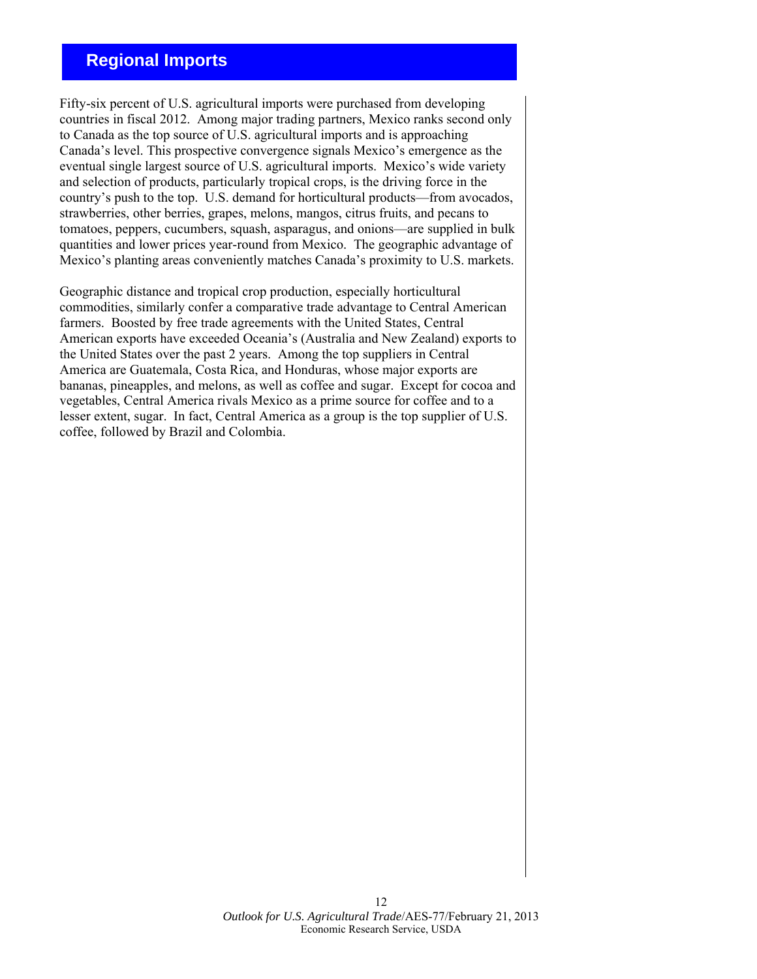# **Regional Imports**

Fifty-six percent of U.S. agricultural imports were purchased from developing countries in fiscal 2012. Among major trading partners, Mexico ranks second only to Canada as the top source of U.S. agricultural imports and is approaching Canada's level. This prospective convergence signals Mexico's emergence as the eventual single largest source of U.S. agricultural imports. Mexico's wide variety and selection of products, particularly tropical crops, is the driving force in the country's push to the top. U.S. demand for horticultural products—from avocados, strawberries, other berries, grapes, melons, mangos, citrus fruits, and pecans to tomatoes, peppers, cucumbers, squash, asparagus, and onions—are supplied in bulk quantities and lower prices year-round from Mexico. The geographic advantage of Mexico's planting areas conveniently matches Canada's proximity to U.S. markets.

Geographic distance and tropical crop production, especially horticultural commodities, similarly confer a comparative trade advantage to Central American farmers. Boosted by free trade agreements with the United States, Central American exports have exceeded Oceania's (Australia and New Zealand) exports to the United States over the past 2 years. Among the top suppliers in Central America are Guatemala, Costa Rica, and Honduras, whose major exports are bananas, pineapples, and melons, as well as coffee and sugar. Except for cocoa and vegetables, Central America rivals Mexico as a prime source for coffee and to a lesser extent, sugar. In fact, Central America as a group is the top supplier of U.S. coffee, followed by Brazil and Colombia.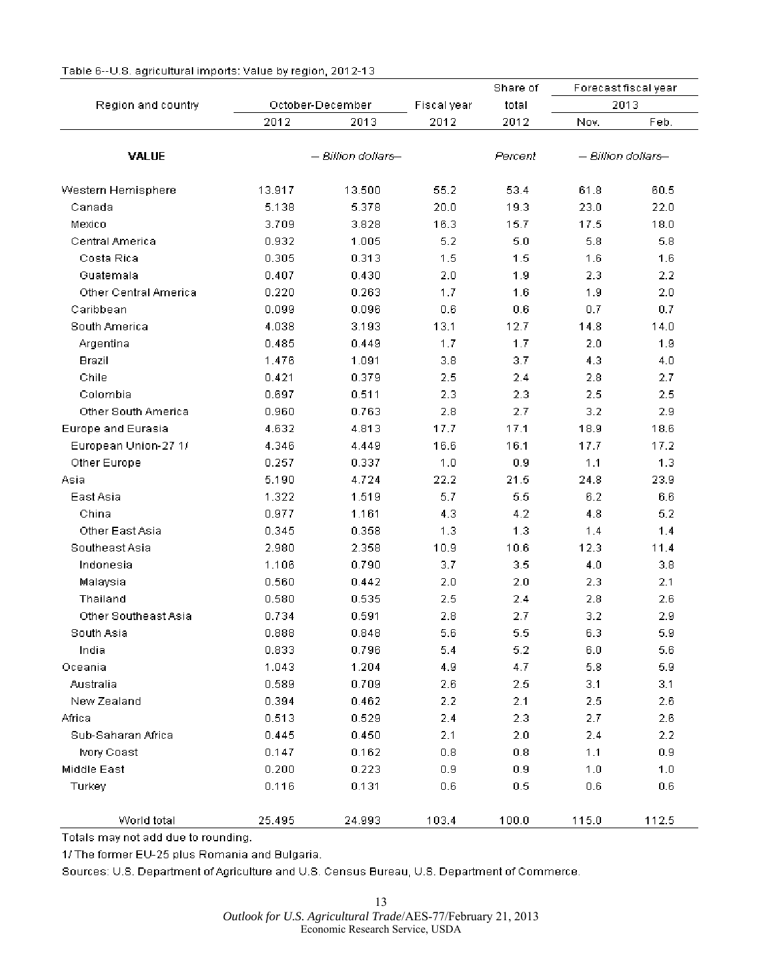|                       |        |                    |             | Share of | Forecast fiscal year |                    |  |
|-----------------------|--------|--------------------|-------------|----------|----------------------|--------------------|--|
| Region and country    |        | October-December   | Fiscal year | total    |                      | 2013               |  |
|                       | 2012   | 2013               | 2012        | 2012     | Nov.                 | Feb.               |  |
| <b>VALUE</b>          |        | - Billion dollars- |             | Percent  |                      | - Billion dollars- |  |
| Western Hemisphere    | 13.917 | 13.500             | 55.2        | 53.4     | 61.8                 | 60.5               |  |
| Canada                | 5.138  | 5.378              | 20.0        | 19.3     | 23.0                 | 22.0               |  |
| Mexico                | 3.709  | 3.828              | 16.3        | 15.7     | 17.5                 | 18.0               |  |
| Central America       | 0.932  | 1.005              | 5.2         | 5.0      | 5.8                  | 5.8                |  |
| Costa Rica            | 0.305  | 0.313              | 1.5         | 1.5      | 1.6                  | 1.6                |  |
| Guatemala             | 0.407  | 0.430              | 2.0         | 1.9      | 2.3                  | 2.2                |  |
| Other Central America | 0.220  | 0.263              | 1.7         | 1.6      | 1.9                  | 2.0                |  |
| Caribbean             | 0.099  | 0.096              | 0.6         | 0.6      | 0.7                  | 0.7                |  |
| South America         | 4.038  | 3.193              | 13.1        | 12.7     | 14.8                 | 14.0               |  |
| Argentina             | 0.485  | 0.449              | 1.7         | 1.7      | 2.0                  | 1.9                |  |
| Brazil                | 1.476  | 1.091              | 3.8         | 3.7      | 4.3                  | 4.0                |  |
| Chile                 | 0.421  | 0.379              | 2.5         | 2.4      | 2.8                  | 2.7                |  |
| Colombia              | 0.697  | 0.511              | 2.3         | 2.3      | 2.5                  | 2.5                |  |
| Other South America   | 0.960  | 0.763              | 2.8         | 2.7      | 3.2                  | 2.9                |  |
| Europe and Eurasia    | 4.632  | 4.813              | 17.7        | 17.1     | 18.9                 | 18.6               |  |
| European Union-27 1/  | 4.346  | 4.449              | 16.6        | 16.1     | 17.7                 | 17.2               |  |
| Other Europe          | 0.257  | 0.337              | 1.0         | 0.9      | 1.1                  | 1.3                |  |
| Asia                  | 5.190  | 4.724              | 22.2        | 21.5     | 24.8                 | 23.9               |  |
| East Asia             | 1.322  | 1.519              | 5.7         | 5.5      | 6.2                  | $6.6\,$            |  |
| China                 | 0.977  | 1.161              | 4.3         | 4.2      | 4.8                  | 5.2                |  |
| Other East Asia       | 0.345  | 0.358              | 1.3         | 1.3      | 1.4                  | 1.4                |  |
| Southeast Asia        | 2.980  | 2.358              | 10.9        | 10.6     | 12.3                 | 11.4               |  |
| Indonesia             | 1.106  | 0.790              | 3.7         | 3.5      | 4.0                  | 3.8                |  |
| Malaysia              | 0.560  | 0.442              | 2.0         | 2.0      | 2.3                  | 2.1                |  |
| Thailand              | 0.580  | 0.535              | 2.5         | 2.4      | 2.8                  | 2.6                |  |
| Other Southeast Asia  | 0.734  | 0.591              | 2.8         | 2.7      | 3.2                  | 2.9                |  |
| South Asia            | 0.888  | 0.848              | 5.6         | 5.5      | 6.3                  | 5.9                |  |
| India                 | 0.833  | 0.796              | 5.4         | 5.2      | 6.0                  | 5.6                |  |
| Oceania               | 1.043  | 1.204              | 4.9         | 4.7      | 5.8                  | 5.9                |  |
| Australia             | 0.589  | 0.709              | 2.6         | 2.5      | 3.1                  | 3.1                |  |
| New Zealand           | 0.394  | 0.462              | 2.2         | 2.1      | 2.5                  | 2.6                |  |
| Africa                | 0.513  | 0.529              | 2.4         | 2.3      | 2.7                  | 2.6                |  |
| Sub-Saharan Africa    | 0.445  | 0.450              | 2.1         | 2.0      | 2.4                  | 2.2                |  |
| Ivory Coast           | 0.147  | 0.162              | 0.8         | 0.8      | 1.1                  | 0.9                |  |
| Middle East           | 0.200  | 0.223              | 0.9         | 0.9      | 1.0                  | 1.0                |  |
| Turkey                | 0.116  | 0.131              | 0.6         | 0.5      | 0.6                  | 0.6                |  |
| World total           | 25.495 | 24.993             | 103.4       | 100.0    | 115.0                | 112.5              |  |

## <span id="page-12-0"></span>Table 6--U.S. agricultural imports: Value by region, 2012-13

Totals may not add due to rounding.

1/ The former EU-25 plus Romania and Bulgaria.

Sources: U.S. Department of Agriculture and U.S. Census Bureau, U.S. Department of Commerce.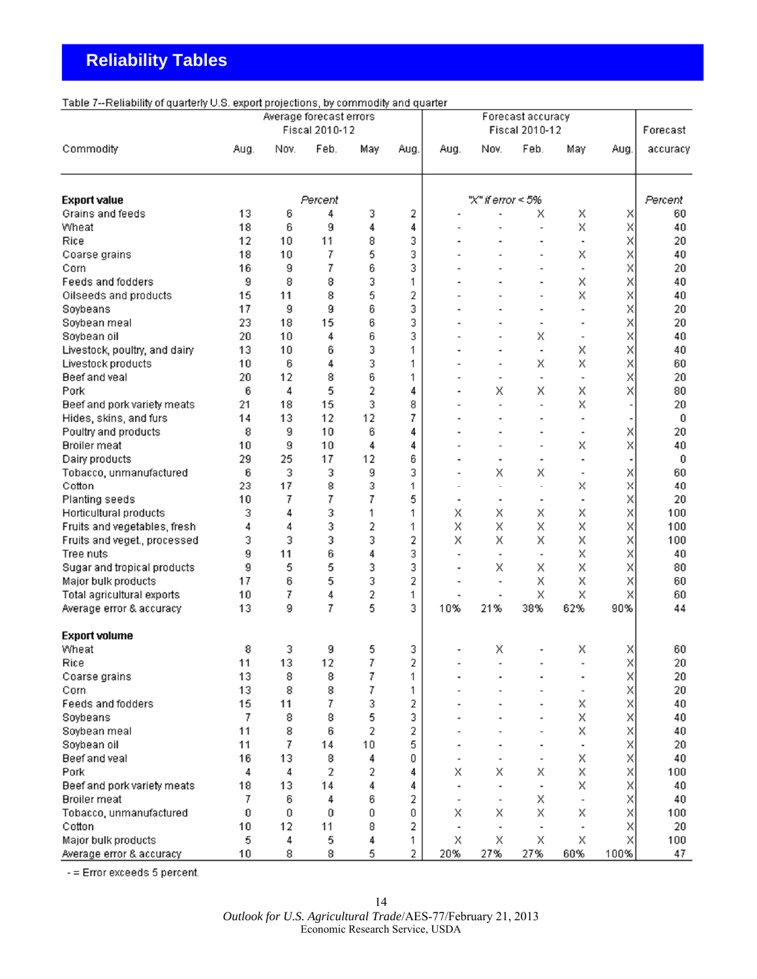# <span id="page-13-0"></span> **Reliability Tables**

## Table 7--Reliability of quarterly U.S. export projections, by commodity and quarter

|                               |      | Average forecast errors<br>Fiscal 2010-12 |         |     |      | Forecast accuracy<br>Fiscal 2010-12 |                          |                              |                              | Forecast |          |
|-------------------------------|------|-------------------------------------------|---------|-----|------|-------------------------------------|--------------------------|------------------------------|------------------------------|----------|----------|
| Commodity                     | Aug. | Nov.                                      | Feb.    | May | Aug. | Aug.                                | Nov.                     | Feb.                         | May                          | Aug.     | accuracy |
| <b>Export value</b>           |      |                                           | Percent |     |      |                                     | "X" if error < 5%        |                              |                              |          | Percent  |
| Grains and feeds              | 13   | 6                                         | 4       | 3   | 2    |                                     |                          | x                            | Χ                            | X        | 60       |
| Wheat                         | 18   | 6                                         | 9       | 4   | 4    |                                     |                          |                              | Χ                            | X        | 40       |
| Rice                          | 12   | 10                                        | 11      | 8   | 3    |                                     |                          |                              | $\overline{\phantom{0}}$     | X        | 20       |
| Coarse grains                 | 18   | 10                                        | 7       | 5   | 3    |                                     |                          |                              | X                            | X        | 40       |
| Corn                          | 16   | 9                                         | 7       | 6   | 3    |                                     |                          |                              |                              | X        | 20       |
| Feeds and fodders             | 9    | 8                                         | 8       | 3   | 1    |                                     |                          |                              | Χ                            | Χ        | 40       |
| Oilseeds and products         | 15   | 11                                        | 8       | 5   | 2    |                                     |                          |                              | Χ                            | X        | 40       |
| Soybeans                      | 17   | 9                                         | 9       | 6   | 3    |                                     |                          |                              |                              | X        | 20       |
| Soybean meal                  | 23   | 18                                        | 15      | 6   | 3    |                                     |                          | $\overline{a}$               | $\qquad \qquad \blacksquare$ | X        | 20       |
| Soybean oil                   | 20   | 10                                        | 4       | 6   | 3    |                                     |                          | Χ                            |                              | X        | 40       |
| Livestock, poultry, and dairy | 13   | 10                                        | 6       | 3   | 1    |                                     |                          | $\overline{\phantom{0}}$     | Χ                            | X        | 40       |
| Livestock products            | 10   | 6                                         | 4       | 3   | 1    |                                     | $\blacksquare$           | X                            | Χ                            | Χ        | 60       |
| Beef and veal                 | 20   | 12                                        | 8       | 6   | 1    |                                     | $\blacksquare$           | $\overline{\phantom{a}}$     |                              | Χ        | 20       |
| Pork                          | 6    | 4                                         | 5       | 2   | 4    |                                     | Χ                        | X                            | Χ                            | Χ        | 80       |
| Beef and pork variety meats   | 21   | 18                                        | 15      | 3   | 8    |                                     |                          | $\qquad \qquad \blacksquare$ | Χ                            |          | 20       |
| Hides, skins, and furs        | 14   | 13                                        | 12      | 12  | 7    |                                     |                          | $\overline{a}$               |                              |          | 0        |
| Poultry and products          | 8    | 9                                         | 10      | 6   | 4    |                                     |                          |                              | $\overline{\phantom{a}}$     | X        | 20       |
| <b>Broiler</b> meat           | 10   | 9                                         | 10      | 4   | 4    |                                     |                          | $\overline{a}$               | Χ                            | Χ        | 40       |
| Dairy products                | 29   | 25                                        | 17      | 12  | 6    |                                     | $\overline{\phantom{a}}$ | $\overline{\phantom{a}}$     |                              |          | 0        |
| Tobacco, unmanufactured       | 6    | 3                                         | 3       | 9   | 3    |                                     | X                        | X                            |                              | X        | 60       |
| Cotton                        | 23   | 17                                        | 8       | 3   | 1    | $\overline{a}$                      | $\overline{a}$           | $\overline{\phantom{0}}$     | x                            | X        | 40       |
| Planting seeds                | 10   | 7                                         | 7       | 7   | 5    | $\overline{a}$                      |                          | $\overline{\phantom{a}}$     |                              | X        | 20       |
| Horticultural products        | 3    | 4                                         | 3       | 1   | 1    | X                                   | Х                        | X                            | Χ                            | X        | 100      |
| Fruits and vegetables, fresh  | 4    | 4                                         | 3       | 2   | 1    | Χ                                   | X                        | X                            | X                            | X        | 100      |
| Fruits and veget., processed  | 3    | 3                                         | 3       | 3   | 2    | Χ                                   | X                        | X                            | X                            | X        | 100      |
| Tree nuts                     | 9    | 11                                        | 6       | 4   | 3    | $\overline{a}$                      | $\blacksquare$           | $\overline{\phantom{0}}$     | Χ                            | X        | 40       |
| Sugar and tropical products   | 9    | 5                                         | 5       | 3   | 3    |                                     | X                        | X                            | Χ                            | X        | 80       |
| Major bulk products           | 17   | 6                                         | 5       | 3   | 2    |                                     | $\overline{\phantom{a}}$ | X                            | Χ                            | X        | 60       |
| Total agricultural exports    | 10   | 7                                         | 4       | 2   | 1    |                                     | $\overline{\phantom{a}}$ | Χ                            | Χ                            | X        | 60       |
| Average error & accuracy      | 13   | g                                         | 7       | 5   | 3    | 10%                                 | 21%                      | 38%                          | 62%                          | 90%      | 44       |
|                               |      |                                           |         |     |      |                                     |                          |                              |                              |          |          |
| <b>Export volume</b>          |      |                                           |         |     |      |                                     |                          |                              |                              |          |          |
| Wheat                         | 8    | 3                                         | 9       | 5   | 3    |                                     | Х                        |                              | Х                            | X        | 60       |
| Rice                          | 11   | 13                                        | 12      | 7   | 2    |                                     |                          |                              |                              | Χ        | $20\,$   |
| Coarse grains                 | 13   | 8                                         | 8       | 7   | 1    |                                     |                          |                              |                              | X        | 20       |
| Corn                          | 13   | 8                                         | 8       | 7   | 1    |                                     |                          |                              | $\overline{\phantom{a}}$     | Χ        | 20       |
| Feeds and fodders             | 15   | 11                                        | 7       | 3   | 2    |                                     |                          |                              | x                            | X        | 40       |
| Soybeans                      | 7    | 8                                         | 8       | 5   | 3    |                                     |                          |                              | X                            | X        | 40       |
| Soybean meal                  | 11   | 8                                         | 6       | 2   | 2    |                                     |                          |                              | Χ                            | X        | 40       |
| Soybean oil                   | 11   | 7                                         | 14      | 10  | 5    |                                     |                          |                              |                              | X        | 20       |
| Beef and veal                 | 16   | 13                                        | 8       | 4   | 0    |                                     |                          |                              | X                            | X        | 40       |
| Pork                          | 4    | 4                                         | 2       | 2   | 4    | Χ                                   | X                        | X                            | Χ                            | X        | 100      |
| Beef and pork variety meats   | 18   | 13                                        | 14      | 4   | 4    |                                     |                          | $\overline{\phantom{a}}$     | Χ                            | X        | 40       |
| <b>Broiler</b> meat           | 7    | 6                                         | 4       | 6   | 2    |                                     | $\blacksquare$           | X                            |                              | X        | 40       |
| Tobacco, unmanufactured       | 0    | 0                                         | 0       | 0   | Ū    | X                                   | X                        | X                            | X                            | X        | 100      |
| Cotton                        | 10   | 12                                        | 11      | 8   | 2    |                                     |                          | $\blacksquare$               |                              | X        | 20       |
| Major bulk products           | 5    | 4                                         | 5       | 4   | 1    | Х                                   | X                        | Χ                            | Χ                            | X        | 100      |
| Average error & accuracy      | 10   | 8                                         | 8       | 5   | 2    | 20%                                 | 27%                      | 27%                          | 60%                          | 100%     | 47       |

- = Error exceeds 5 percent.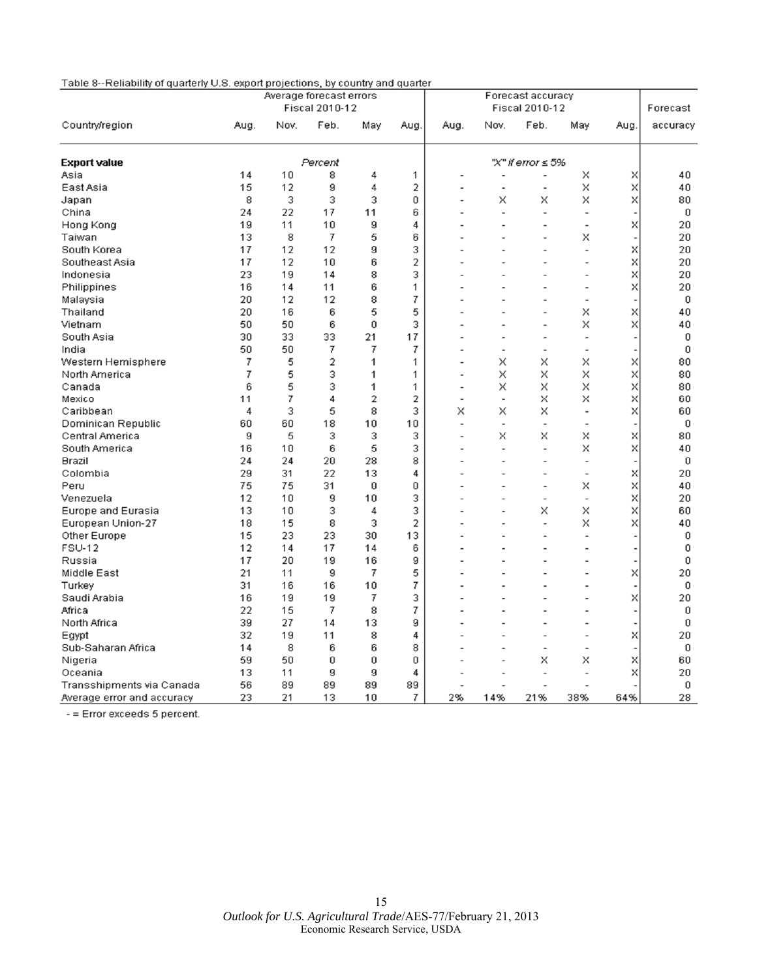| Table 8--Reliability of quarterly U.S. export projections, by country and quarter |  |
|-----------------------------------------------------------------------------------|--|
|-----------------------------------------------------------------------------------|--|

|                            |      |      | Average forecast errors |     |          |                |                          | Forecast accuracy        |                |      |             |
|----------------------------|------|------|-------------------------|-----|----------|----------------|--------------------------|--------------------------|----------------|------|-------------|
|                            |      |      | Fiscal 2010-12          |     |          |                |                          | Fiscal 2010-12           |                |      | Forecast    |
| Country/region             | Aug. | Nov. | Feb.                    | May | Aug.     | Aug.           | Nov.                     | Feb.                     | May            | Aug. | accuracy    |
| <b>Export value</b>        |      |      | Percent                 |     |          |                |                          | "X" if error ≤ 5%        |                |      |             |
| Asia                       | 14   | 10   | 8                       | 4   | 1        |                |                          |                          | X              | X    | 40          |
| East Asia                  | 15   | 12   | 9                       | 4   | 2        |                |                          | $\overline{a}$           | x              | Χ    | 40          |
| Japan                      | 8    | 3    | 3                       | 3   | 0        |                | x                        | x                        | x              | X    | 80          |
| China                      | 24   | 22   | 17                      | 11  | 6        |                |                          | ÷                        |                |      | 0           |
| Hong Kong                  | 19   | 11   | 10                      | 9   | 4        |                |                          | $\overline{a}$           | $\overline{a}$ | Χ    | 20          |
| Taiwan                     | 13   | 8    | 7                       | 5   | 6        |                |                          |                          | x              |      | 20          |
| South Korea                | 17   | 12   | 12                      | 9   | 3        |                |                          |                          |                | Χ    | 20          |
| Southeast Asia             | 17   | 12   | 10                      | 6   | 2        |                |                          |                          |                | Χ    | 20          |
| Indonesia                  | 23   | 19   | 14                      | 8   | 3        |                |                          |                          |                | Χ    | 20          |
| Philippines                | 16   | 14   | 11                      | 6   | 1        |                |                          |                          |                | X    | 20          |
| Malaysia                   | 20   | 12   | 12                      | 8   | 7        |                |                          |                          | $\overline{a}$ |      | $\mathbf 0$ |
| Thailand                   | 20   | 16   | 6                       | 5   | 5        |                |                          | $\overline{a}$           | x              | X    | 40          |
| Vietnam                    | 50   | 50   | 6                       | 0   | 3        |                |                          | $\overline{a}$           | x              | Χ    | 40          |
| South Asia                 | 30   | 33   | 33                      | 21  | 17       |                |                          | $\overline{a}$           | $\overline{a}$ |      | 0           |
| India                      | 50   | 50   | 7                       | 7   | 7        |                |                          | $\overline{\phantom{a}}$ |                |      | 0           |
| Western Hemisphere         | 7    | 5    | 2                       | 1   | 1        |                | X                        | x                        | ×              | x    | 80          |
| North America              | 7    | 5    | 3                       | 1   | 1        |                | X                        | X                        | x              | Χ    | 80          |
| Canada                     | 6    | 5    | 3                       | 1   | 1        | $\overline{a}$ | x                        | X                        | x              | Χ    | 80          |
| Mexico                     | 11   | 7    | 4                       | 2   | 2        | $\overline{a}$ | $\overline{\phantom{0}}$ | x                        | x              | X    | 60          |
| Caribbean                  | 4    | 3    | 5                       | 8   | 3        | x              | x                        | X                        | $\overline{a}$ | Χ    | 60          |
| Dominican Republic         | 60   | 60   | 18                      | 10  | 10       | $\overline{a}$ | $\overline{\phantom{a}}$ | $\overline{\phantom{a}}$ | $\overline{a}$ |      | 0           |
| Central America            | 9    | 5    | 3                       | 3   | 3        | $\overline{a}$ | X                        | X                        | X              | X    | 80          |
| South America              | 16   | 10   | 6                       | 5   | 3        |                | $\overline{a}$           | $\overline{a}$           | X              | X    | 40          |
| Brazil                     | 24   | 24   | 20                      | 28  | 8        |                |                          | $\overline{a}$           | $\overline{a}$ |      | 0           |
| Colombia                   | 29   | 31   | 22                      | 13  | 4        |                |                          | $\overline{a}$           | $\overline{a}$ | x    | 20          |
| Peru                       | 75   | 75   | 31                      | 0   | 0        |                |                          | $\overline{a}$           | x              | Χ    | 40          |
| Venezuela                  | 12   | 10   | 9                       | 10  | 3        |                |                          | $\overline{a}$           | $\overline{a}$ | X    | 20          |
| Europe and Eurasia         | 13   | 10   | 3                       | 4   | 3        |                |                          | X                        | X              | X    | 60          |
| European Union-27          | 18   | 15   | 8                       | 3   | 2        |                |                          | $\overline{a}$           | x              | Χ    | 40          |
| Other Europe               | 15   | 23   | 23                      | 30  | 13       |                |                          | ٠                        | $\overline{a}$ |      | 0           |
| <b>FSU-12</b>              | 12   | 14   | 17                      | 14  | 6        |                |                          |                          |                |      | 0           |
| Russia                     | 17   | 20   | 19                      | 16  | 9        |                |                          | $\overline{a}$           |                |      | $\mathbf 0$ |
| Middle East                | 21   | 11   | 9                       | 7   | 5        |                |                          |                          |                | Χ    | 20          |
| Turkey                     | 31   | 16   | 16                      | 10  | 7        |                |                          |                          |                |      | 0           |
| Saudi Arabia               | 16   | 19   | 19                      | 7   | 3        |                |                          |                          |                | Χ    | 20          |
| Africa                     | 22   | 15   | 7                       | 8   | 7        |                |                          |                          |                |      | 0           |
| North Africa               | 39   | 27   | 14                      | 13  | 9        |                |                          |                          |                |      | 0           |
| Egypt                      | 32   | 19   | 11                      | 8   | 4        |                |                          |                          |                | X    | 20          |
| Sub-Saharan Africa         | 14   | 8    | 6                       | 6   | 8        |                |                          | $\overline{a}$           |                |      | 0           |
| Nigeria                    | 59   | 50   | 0                       | 0   | $\Omega$ |                |                          | X                        | x              | X    | 60          |
| Oceania                    | 13   | 11   | 9                       | 9   | 4        |                |                          | $\overline{a}$           |                | Χ    | 20          |
| Transshipments via Canada  | 56   | 89   | 89                      | 89  | 89       |                |                          |                          |                |      | 0           |
| Average error and accuracy | 23   | 21   | 13                      | 10  | 7        | 2%             | 14%                      | 21%                      | 38%            | 64%  | 28          |

- = Error exceeds 5 percent.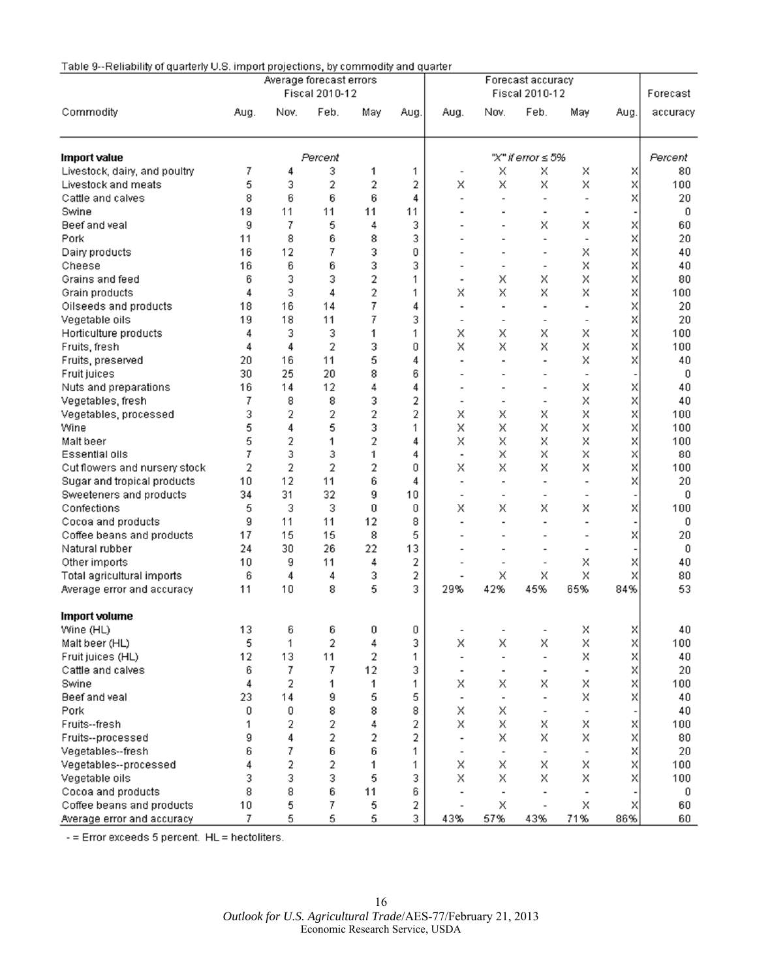| Table 9--Reliability of quarterly U.S. import projections, by commodity and quarter |  |  |
|-------------------------------------------------------------------------------------|--|--|
|-------------------------------------------------------------------------------------|--|--|

|                               | Average forecast errors<br>Fiscal 2010-12 |      |         |     | Forecast accuracy<br>Fiscal 2010-12 |                              |                          |                          |                          | Forecast |          |
|-------------------------------|-------------------------------------------|------|---------|-----|-------------------------------------|------------------------------|--------------------------|--------------------------|--------------------------|----------|----------|
| Commodity                     | Aug.                                      | Nov. | Feb.    | May | Aug.                                | Aug.                         | Nov.                     | Feb.                     | May                      | Aug.     | accuracy |
| <b>Import value</b>           |                                           |      | Percent |     |                                     |                              |                          | "X" if error ≤ 5%        |                          |          | Percent  |
| Livestock, dairy, and poultry | 7                                         | 4    | 3       | 1   | 1                                   |                              | Х                        | X                        | X                        | X        | 80       |
| Livestock and meats           | 5                                         | 3    | 2       | 2   | 2                                   | Х                            | X                        | X                        | X                        | X        | 100      |
| Cattle and calves             | 8                                         | 6    | 6       | 6   | 4                                   | $\overline{\phantom{0}}$     |                          | $\overline{\phantom{a}}$ |                          | X        | 20       |
| Swine                         | 19                                        | 11   | 11      | 11  | 11                                  |                              |                          | $\overline{\phantom{a}}$ |                          |          | 0        |
| Beef and yeal                 | 9                                         | 7    | 5       | 4   | 3                                   |                              |                          | x                        | X                        | X        | 60       |
| Pork                          | 11                                        | 8    | 6       | 8   | 3                                   |                              |                          | $\overline{\phantom{a}}$ |                          | X        | 20       |
| Dairy products                | 16                                        | 12   | 7       | 3   | 0                                   |                              |                          | $\overline{a}$           | X                        | Χ        | 40       |
| Cheese                        | 16                                        | 6    | 6       | 3   | 3                                   | $\overline{a}$               |                          | $\overline{\phantom{a}}$ | X                        | X        | 40       |
| Grains and feed               | 6                                         | 3    | 3       | 2   | 1                                   | $\overline{\phantom{0}}$     | X                        | X                        | X                        | Χ        | 80       |
| Grain products                | 4                                         | 3    | 4       | 2   | 1                                   | X                            | X                        | Χ                        | X                        | X        | 100      |
| Oilseeds and products         | 18                                        | 16   | 14      | 7   | 4                                   | $\overline{\phantom{0}}$     |                          | $\overline{\phantom{a}}$ |                          | X        | 20       |
| Vegetable oils                | 19                                        | 18   | 11      | 7   | 3                                   | $\blacksquare$               |                          | $\overline{\phantom{a}}$ |                          | X        | 20       |
| Horticulture products         | 4                                         | 3    | 3       | 1   | 1                                   | X                            | X                        | Χ                        | X                        | X        | 100      |
| Fruits, fresh                 | 4                                         | 4    | 2       | 3   | 0                                   | Х                            | X                        | X                        | Χ                        | X        | 100      |
| Fruits, preserved             | 20                                        | 16   | 11      | 5   | 4                                   |                              |                          | $\overline{\phantom{a}}$ | X                        | X        | 40       |
| Fruit juices                  | 30                                        | 25   | 20      | 8   | 6                                   |                              |                          | $\overline{\phantom{a}}$ |                          |          | 0        |
| Nuts and preparations         | 16                                        | 14   | 12      | 4   | 4                                   |                              |                          | $\overline{\phantom{a}}$ | X                        | X        | 40       |
| Vegetables, fresh             | 7                                         | 8    | 8       | 3   | 2                                   | $\overline{\phantom{a}}$     |                          | $\overline{\phantom{a}}$ | X                        | Χ        | 40       |
| Vegetables, processed         | 3                                         | 2    | 2       | 2   | 2                                   | X                            | X                        | Χ                        | Χ                        | X        | 100      |
| Wine                          | 5                                         | 4    | 5       | 3   | 1                                   | X                            | X                        | X                        | Χ                        | Χ        | 100      |
| Malt beer                     | 5                                         | 2    | 1       | 2   | 4                                   | X                            | X                        | X                        | X                        | X        | 100      |
| Essential oils                | 7                                         | 3    | 3       | 1   | 4                                   | $\overline{a}$               | X                        | X                        | X                        | X        | 80       |
| Cut flowers and nursery stock | 2                                         | 2    | 2       | 2   | 0                                   | Х                            | X                        | X                        | X                        | Χ        | 100      |
| Sugar and tropical products   | 10                                        | 12   | 11      | 6   | 4                                   | $\qquad \qquad \blacksquare$ |                          | $\overline{\phantom{a}}$ |                          | X        | 20       |
| Sweeteners and products       | 34                                        | 31   | 32      | 9   | 10                                  | $\qquad \qquad \blacksquare$ |                          | $\blacksquare$           |                          |          | 0        |
| Confections                   | 5                                         | 3    | 3       | 0   | 0                                   | X                            | X                        | X                        | X                        | Χ        | 100      |
| Cocoa and products            | 9                                         | 11   | 11      | 12  | 8                                   |                              |                          | $\overline{\phantom{a}}$ |                          |          | 0        |
| Coffee beans and products     | 17                                        | 15   | 15      | 8   | 5                                   |                              |                          |                          |                          | X        | 20       |
| Natural rubber                | 24                                        | 30   | 26      | 22  | 13                                  |                              |                          | $\overline{a}$           |                          |          | 0        |
| Other imports                 | 10                                        | 9    | 11      | 4   | 2                                   |                              |                          | $\overline{a}$           | X                        | X        | 40       |
| Total agricultural imports    | 6                                         | 4    | 4       | 3   | 2                                   |                              | X                        | X                        | X                        | X        | 80       |
| Average error and accuracy    | 11                                        | 10   | 8       | 5   | 3                                   | 29%                          | 42%                      | 45%                      | 65%                      | 84%      | 53       |
|                               |                                           |      |         |     |                                     |                              |                          |                          |                          |          |          |
| <b>Import volume</b>          |                                           |      |         |     |                                     |                              |                          |                          |                          |          |          |
| Wine (HL)                     | 13                                        | 6    | 6       | 0   | 0                                   |                              |                          |                          | Χ                        | ×        | 40       |
| Malt beer (HL)                | 5                                         | 1    | 2       | 4   | 3                                   | Χ                            | Χ                        | x                        | Χ                        | Χ        | 100      |
| Fruit juices (HL)             | 12                                        | 13   | 11      | 2   | 1                                   | $\overline{\phantom{a}}$     | $\overline{\phantom{a}}$ | $\overline{\phantom{a}}$ | Χ                        | X        | 40       |
| Cattle and calves             | 6                                         | 7    | 7       | 12  | 3                                   | $\overline{\phantom{a}}$     | $\overline{\phantom{a}}$ | $\overline{\phantom{a}}$ |                          | X        | 20       |
| Swine                         | 4                                         | 2    | 1       | 1   | 1                                   | X                            | X                        | X                        | X                        | X        | 100      |
| Beef and veal                 | 23                                        | 14   | 9       | 5   | 5                                   | $\overline{\phantom{a}}$     | $\overline{\phantom{a}}$ | $\overline{\phantom{a}}$ | X                        | X        | 40       |
| Pork                          | 0                                         | 0    | 8       | 8   | 8                                   | X                            | X                        |                          |                          |          | 40       |
| Fruits--fresh                 | 1                                         | 2    | 2       | 4   | 2                                   | Х                            | X                        | X                        | X                        | ×        | 100      |
| Fruits--processed             | g                                         | 4    | 2       | 2   | 2                                   |                              | X                        | X                        | X                        | X        | 80       |
| Vegetables--fresh             | 6                                         | 7    | 6       | 6   | 1                                   | $\bar{ }$                    | $\overline{\phantom{a}}$ |                          |                          | X        | 20       |
| Vegetables--processed         | 4                                         | 2    | 2       | 1   | 1                                   | X                            | X                        | X                        | X                        | X        | 100      |
| Vegetable oils                | 3                                         | 3    | 3       | 5   | 3                                   | X                            | X                        | X                        | X                        | X        | 100      |
| Cocoa and products            | 8                                         | 8    | 6       | 11  | 6                                   |                              |                          | $\overline{\phantom{a}}$ | $\overline{\phantom{a}}$ |          | 0        |
| Coffee beans and products     | 10                                        | 5    | 7       | 5   | 2                                   |                              | X                        | $\overline{\phantom{a}}$ | X                        | X        | 60       |
| Average error and accuracy    | 7                                         | 5    | 5       | 5   | 3                                   | 43%                          | 57%                      | 43%                      | 71%                      | 86%      | 60       |

- = Error exceeds 5 percent. HL = hectoliters.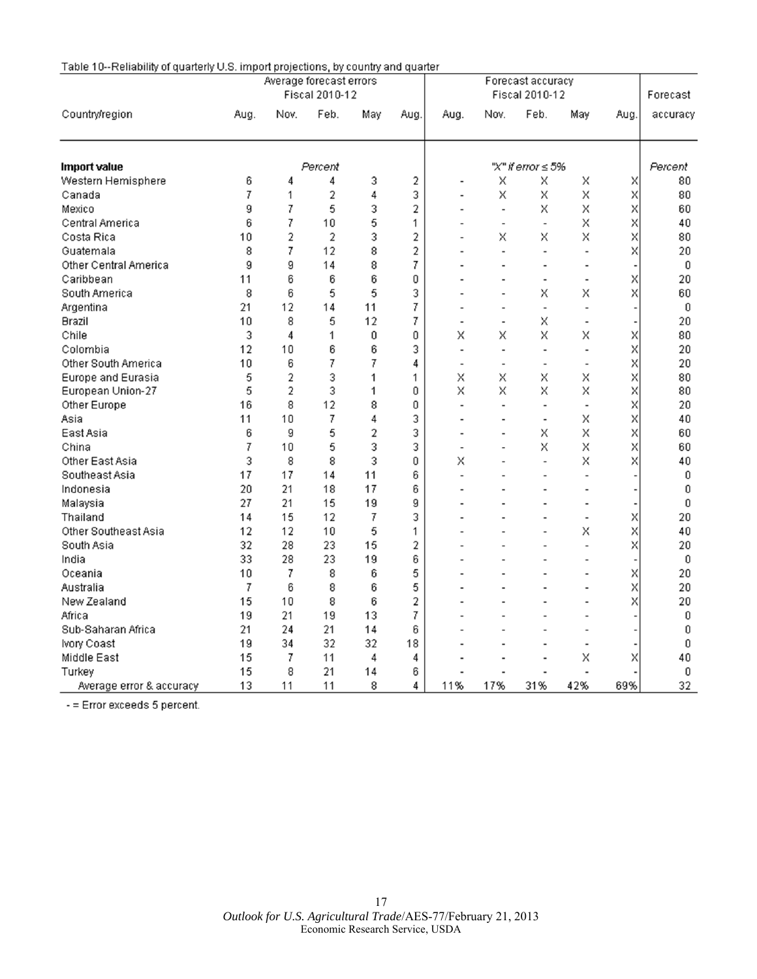| Country/region           | Average forecast errors<br>Fiscal 2010-12 |                |      |     |      | Forecast accuracy<br>Fiscal 2010-12 |                              |                          |                |      | Forecast |
|--------------------------|-------------------------------------------|----------------|------|-----|------|-------------------------------------|------------------------------|--------------------------|----------------|------|----------|
|                          | Aug.                                      | Nov.           | Feb. | May | Aug. | Aug.                                | Nov.                         | Feb.                     | May            | Aug. | accuracy |
| <b>Import value</b>      | Percent                                   |                |      |     |      | "X" if error $\leq 5\%$             |                              |                          |                |      | Percent  |
| Western Hemisphere       | 6                                         | 4              | 4    | 3   | 2    |                                     | Χ                            | Χ                        | Χ              | Χ    | 80       |
| Canada                   | 7                                         | 1              | 2    | 4   | 3    |                                     | Χ                            | Χ                        | X              | Χ    | 80       |
| Mexico                   | 9                                         | 7              | 5    | 3   | 2    | $\overline{\phantom{a}}$            | $\overline{\phantom{a}}$     | X                        | Χ              | Χ    | 60       |
| Central America          | 6                                         | 7              | 10   | 5   | 1    | $\overline{a}$                      | $\blacksquare$               | $\overline{\phantom{a}}$ | X              | X    | 40       |
| Costa Rica               | 10                                        | 2              | 2    | 3   | 2    |                                     | Χ                            | Χ                        | Χ              | X    | 80       |
| Guatemala                | 8                                         | 7              | 12   | 8   | 2    |                                     | $\overline{a}$               | $\overline{a}$           | $\overline{a}$ | Χ    | 20       |
| Other Central America    | 9                                         | 9              | 14   | 8   | 7    |                                     |                              | $\overline{a}$           |                |      | 0        |
| Caribbean                | 11                                        | 6              | 6    | 6   | 0    |                                     |                              | ٠                        | $\overline{a}$ | X    | 20       |
| South America            | 8                                         | 6              | 5    | 5   | 3    |                                     | $\overline{a}$               | x                        | Χ              | X    | 60       |
| Argentina                | 21                                        | 12             | 14   | 11  | 7    | $\overline{\phantom{a}}$            | $\qquad \qquad \blacksquare$ | ÷                        | $\overline{a}$ |      | 0        |
| Brazil                   | 10                                        | 8              | 5    | 12  | 7    | $\overline{a}$                      | $\overline{\phantom{0}}$     | Χ                        |                |      | 20       |
| Chile                    | 3                                         | 4              | 1    | 0   | 0    | Χ                                   | Χ                            | Χ                        | Χ              | Χ    | 80       |
| Colombia                 | 12                                        | 10             | 6    | 6   | 3    | $\overline{a}$                      | $\overline{\phantom{a}}$     | $\overline{a}$           | $\overline{a}$ | Χ    | 20       |
| Other South America      | 10                                        | 6              | 7    | 7   | 4    | $\overline{a}$                      | $\overline{\phantom{0}}$     | $\overline{a}$           | $\overline{a}$ | X    | 20       |
| Europe and Eurasia       | 5                                         | $\overline{2}$ | 3    | 1   | 1    | Χ                                   | Χ                            | X                        | Χ              | X    | 80       |
| European Union-27        | 5                                         | 2              | 3    | 1   | 0    | X                                   | X                            | Х                        | Χ              | Χ    | 80       |
| Other Europe             | 16                                        | 8              | 12   | 8   | 0    | $\overline{a}$                      | $\overline{\phantom{0}}$     | $\overline{a}$           | $\overline{a}$ | X    | 20       |
| Asia                     | 11                                        | 10             | 7    | 4   | 3    | $\overline{a}$                      |                              | $\overline{a}$           | Χ              | X    | 40       |
| East Asia                | 6                                         | 9              | 5    | 2   | 3    |                                     | $\overline{a}$               | x                        | Χ              | Χ    | 60       |
| China                    | 7                                         | 10             | 5    | 3   | 3    | $\overline{a}$                      |                              | X                        | X              | X    | 60       |
| Other East Asia          | 3                                         | 8              | 8    | 3   | 0    | X                                   |                              | $\overline{a}$           | Χ              | Χ    | 40       |
| Southeast Asia           | 17                                        | 17             | 14   | 11  | 6    | $\overline{a}$                      |                              | $\overline{a}$           | $\overline{a}$ |      | 0        |
| Indonesia                | 20                                        | 21             | 18   | 17  | 6    |                                     |                              |                          | $\overline{a}$ |      | 0        |
| Malaysia                 | 27                                        | 21             | 15   | 19  | 9    |                                     |                              |                          |                |      | 0        |
| Thailand                 | 14                                        | 15             | 12   | 7   | 3    |                                     |                              |                          | $\overline{a}$ | Χ    | 20       |
| Other Southeast Asia     | 12                                        | 12             | 10   | 5   | 1    |                                     |                              |                          | X              | X    | 40       |
| South Asia               | 32                                        | 28             | 23   | 15  | 2    |                                     |                              |                          | $\overline{a}$ | Χ    | 20       |
| India                    | 33                                        | 28             | 23   | 19  | 6    |                                     |                              |                          | $\overline{a}$ |      | 0        |
| Oceania                  | 10                                        | 7              | 8    | 6   | 5    |                                     |                              |                          |                | Χ    | 20       |
| Australia                | 7                                         | 6              | 8    | 6   | 5    |                                     |                              |                          |                | X    | 20       |
| New Zealand              | 15                                        | 10             | 8    | 6   | 2    |                                     |                              |                          | $\overline{a}$ | X    | 20       |
| Africa                   | 19                                        | 21             | 19   | 13  | 7    |                                     |                              |                          | $\overline{a}$ |      | 0        |
| Sub-Saharan Africa       | 21                                        | 24             | 21   | 14  | 6    |                                     |                              |                          | $\overline{a}$ |      | 0        |
| Ivory Coast              | 19                                        | 34             | 32   | 32  | 18   |                                     |                              |                          |                |      | 0        |
| Middle East              | 15                                        | 7              | 11   | 4   | 4    |                                     |                              |                          | Χ              | Χ    | 40       |
| Turkey                   | 15                                        | 8              | 21   | 14  | 6    |                                     |                              |                          |                |      | 0        |
| Average error & accuracy | 13                                        | 11             | 11   | 8   | 4    | 11%                                 | 17%                          | 31%                      | 42%            | 69%  | 32       |

## Table 10--Reliability of quarterly U.S. import projections, by country and quarter

- = Error exceeds 5 percent.